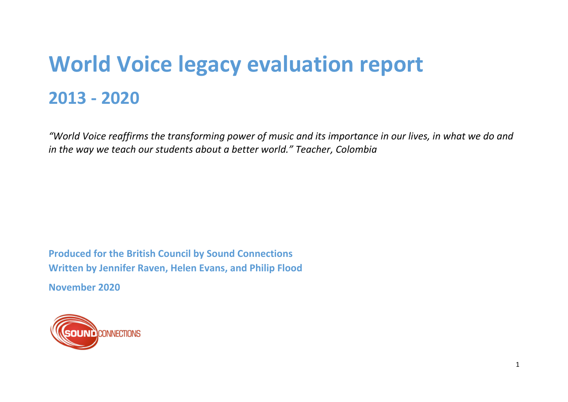# **World Voice legacy evaluation report 2013 - 2020**

*"World Voice reaffirms the transforming power of music and its importance in our lives, in what we do and in the way we teach our students about a better world." Teacher, Colombia*

**Produced for the British Council by Sound Connections Written by Jennifer Raven, Helen Evans, and Philip Flood**

**November 2020**

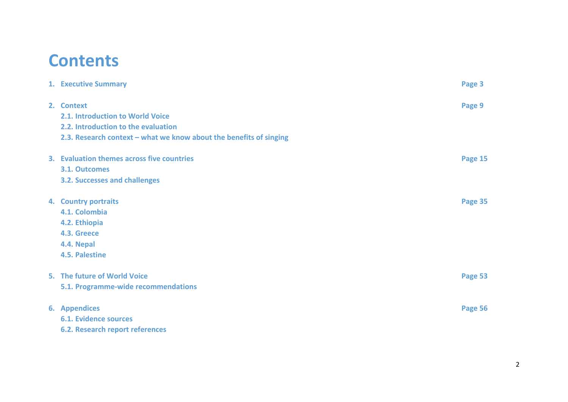## **Contents**

|                                                                    | Page 3               |
|--------------------------------------------------------------------|----------------------|
| 2. Context                                                         | Page 9               |
| 2.1. Introduction to World Voice                                   |                      |
| 2.2. Introduction to the evaluation                                |                      |
| 2.3. Research context - what we know about the benefits of singing |                      |
| 3. Evaluation themes across five countries                         | Page 15              |
| <b>3.1. Outcomes</b>                                               |                      |
| <b>3.2. Successes and challenges</b>                               |                      |
| 4. Country portraits                                               | Page 35              |
| 4.1. Colombia                                                      |                      |
| 4.2. Ethiopia                                                      |                      |
| 4.3. Greece                                                        |                      |
| 4.4. Nepal                                                         |                      |
| 4.5. Palestine                                                     |                      |
| 5. The future of World Voice                                       | Page 53              |
| 5.1. Programme-wide recommendations                                |                      |
| <b>6.</b> Appendices                                               | Page 56              |
| <b>6.1. Evidence sources</b>                                       |                      |
| <b>6.2. Research report references</b>                             |                      |
|                                                                    | 1. Executive Summary |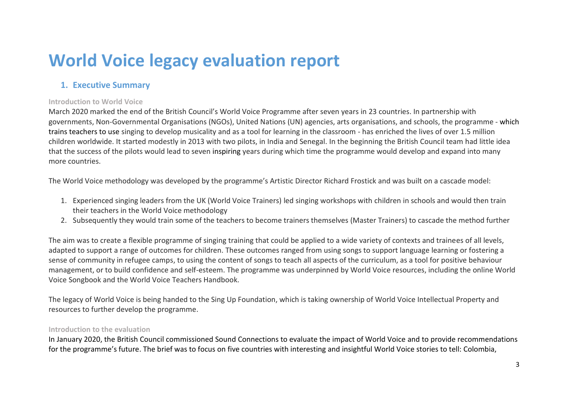## **World Voice legacy evaluation report**

## **1. Executive Summary**

## **Introduction to World Voice**

March 2020 marked the end of the British Council's World Voice Programme after seven years in 23 countries. In partnership with governments, Non-Governmental Organisations (NGOs), United Nations (UN) agencies, arts organisations, and schools, the programme - which trains teachers to use singing to develop musicality and as a tool for learning in the classroom - has enriched the lives of over 1.5 million children worldwide. It started modestly in 2013 with two pilots, in India and Senegal. In the beginning the British Council team had little idea that the success of the pilots would lead to seven inspiring years during which time the programme would develop and expand into many more countries.

The World Voice methodology was developed by the programme's Artistic Director Richard Frostick and was built on a cascade model:

- 1. Experienced singing leaders from the UK (World Voice Trainers) led singing workshops with children in schools and would then train their teachers in the World Voice methodology
- 2. Subsequently they would train some of the teachers to become trainers themselves (Master Trainers) to cascade the method further

The aim was to create a flexible programme of singing training that could be applied to a wide variety of contexts and trainees of all levels, adapted to support a range of outcomes for children. These outcomes ranged from using songs to support language learning or fostering a sense of community in refugee camps, to using the content of songs to teach all aspects of the curriculum, as a tool for positive behaviour management, or to build confidence and self-esteem. The programme was underpinned by World Voice resources, including the online World Voice Songbook and the World Voice Teachers Handbook.

The legacy of World Voice is being handed to the Sing Up Foundation, which is taking ownership of World Voice Intellectual Property and resources to further develop the programme.

## **Introduction to the evaluation**

In January 2020, the British Council commissioned Sound Connections to evaluate the impact of World Voice and to provide recommendations for the programme's future. The brief was to focus on five countries with interesting and insightful World Voice stories to tell: Colombia,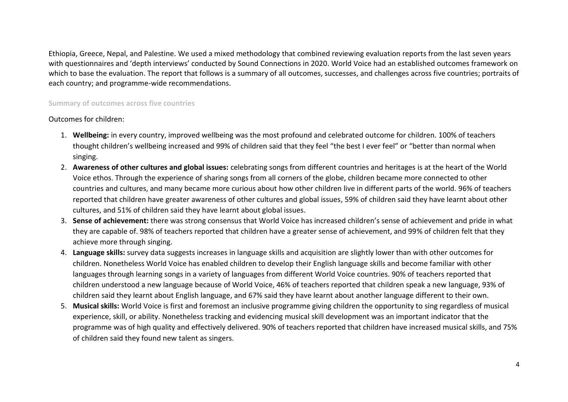Ethiopia, Greece, Nepal, and Palestine. We used a mixed methodology that combined reviewing evaluation reports from the last seven years with questionnaires and 'depth interviews' conducted by Sound Connections in 2020. World Voice had an established outcomes framework on which to base the evaluation. The report that follows is a summary of all outcomes, successes, and challenges across five countries; portraits of each country; and programme-wide recommendations.

## **Summary of outcomes across five countries**

Outcomes for children:

- 1. **Wellbeing:** in every country, improved wellbeing was the most profound and celebrated outcome for children. 100% of teachers thought children's wellbeing increased and 99% of children said that they feel "the best I ever feel" or "better than normal when singing.
- 2. **Awareness of other cultures and global issues:** celebrating songs from different countries and heritages is at the heart of the World Voice ethos. Through the experience of sharing songs from all corners of the globe, children became more connected to other countries and cultures, and many became more curious about how other children live in different parts of the world. 96% of teachers reported that children have greater awareness of other cultures and global issues, 59% of children said they have learnt about other cultures, and 51% of children said they have learnt about global issues.
- 3. **Sense of achievement:** there was strong consensus that World Voice has increased children's sense of achievement and pride in what they are capable of. 98% of teachers reported that children have a greater sense of achievement, and 99% of children felt that they achieve more through singing.
- 4. **Language skills:** survey data suggests increases in language skills and acquisition are slightly lower than with other outcomes for children. Nonetheless World Voice has enabled children to develop their English language skills and become familiar with other languages through learning songs in a variety of languages from different World Voice countries. 90% of teachers reported that children understood a new language because of World Voice, 46% of teachers reported that children speak a new language, 93% of children said they learnt about English language, and 67% said they have learnt about another language different to their own.
- 5. **Musical skills:** World Voice is first and foremost an inclusive programme giving children the opportunity to sing regardless of musical experience, skill, or ability. Nonetheless tracking and evidencing musical skill development was an important indicator that the programme was of high quality and effectively delivered. 90% of teachers reported that children have increased musical skills, and 75% of children said they found new talent as singers.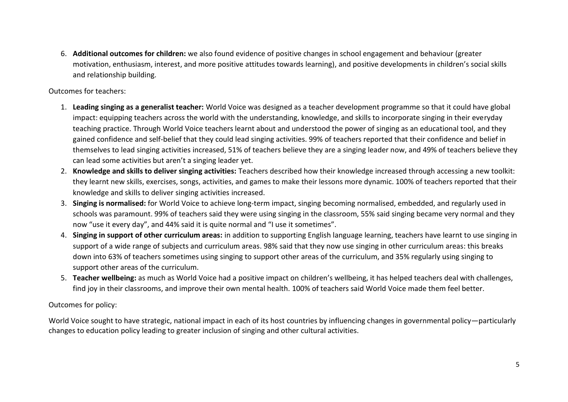6. **Additional outcomes for children:** we also found evidence of positive changes in school engagement and behaviour (greater motivation, enthusiasm, interest, and more positive attitudes towards learning), and positive developments in children's social skills and relationship building.

## Outcomes for teachers:

- 1. **Leading singing as a generalist teacher:** World Voice was designed as a teacher development programme so that it could have global impact: equipping teachers across the world with the understanding, knowledge, and skills to incorporate singing in their everyday teaching practice. Through World Voice teachers learnt about and understood the power of singing as an educational tool, and they gained confidence and self-belief that they could lead singing activities. 99% of teachers reported that their confidence and belief in themselves to lead singing activities increased, 51% of teachers believe they are a singing leader now, and 49% of teachers believe they can lead some activities but aren't a singing leader yet.
- 2. **Knowledge and skills to deliver singing activities:** Teachers described how their knowledge increased through accessing a new toolkit: they learnt new skills, exercises, songs, activities, and games to make their lessons more dynamic. 100% of teachers reported that their knowledge and skills to deliver singing activities increased.
- 3. **Singing is normalised:** for World Voice to achieve long-term impact, singing becoming normalised, embedded, and regularly used in schools was paramount. 99% of teachers said they were using singing in the classroom, 55% said singing became very normal and they now "use it every day", and 44% said it is quite normal and "I use it sometimes".
- 4. **Singing in support of other curriculum areas:** in addition to supporting English language learning, teachers have learnt to use singing in support of a wide range of subjects and curriculum areas. 98% said that they now use singing in other curriculum areas: this breaks down into 63% of teachers sometimes using singing to support other areas of the curriculum, and 35% regularly using singing to support other areas of the curriculum.
- 5. **Teacher wellbeing:** as much as World Voice had a positive impact on children's wellbeing, it has helped teachers deal with challenges, find joy in their classrooms, and improve their own mental health. 100% of teachers said World Voice made them feel better.

## Outcomes for policy:

World Voice sought to have strategic, national impact in each of its host countries by influencing changes in governmental policy—particularly changes to education policy leading to greater inclusion of singing and other cultural activities.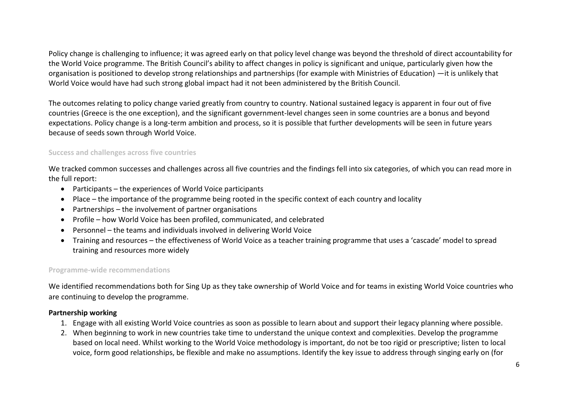Policy change is challenging to influence; it was agreed early on that policy level change was beyond the threshold of direct accountability for the World Voice programme. The British Council's ability to affect changes in policy is significant and unique, particularly given how the organisation is positioned to develop strong relationships and partnerships (for example with Ministries of Education) —it is unlikely that World Voice would have had such strong global impact had it not been administered by the British Council.

The outcomes relating to policy change varied greatly from country to country. National sustained legacy is apparent in four out of five countries (Greece is the one exception), and the significant government-level changes seen in some countries are a bonus and beyond expectations. Policy change is a long-term ambition and process, so it is possible that further developments will be seen in future years because of seeds sown through World Voice.

## **Success and challenges across five countries**

We tracked common successes and challenges across all five countries and the findings fell into six categories, of which you can read more in the full report:

- Participants the experiences of World Voice participants
- Place the importance of the programme being rooted in the specific context of each country and locality
- Partnerships the involvement of partner organisations
- Profile how World Voice has been profiled, communicated, and celebrated
- Personnel the teams and individuals involved in delivering World Voice
- Training and resources the effectiveness of World Voice as a teacher training programme that uses a 'cascade' model to spread training and resources more widely

## **Programme-wide recommendations**

We identified recommendations both for Sing Up as they take ownership of World Voice and for teams in existing World Voice countries who are continuing to develop the programme.

## **Partnership working**

- 1. Engage with all existing World Voice countries as soon as possible to learn about and support their legacy planning where possible.
- 2. When beginning to work in new countries take time to understand the unique context and complexities. Develop the programme based on local need. Whilst working to the World Voice methodology is important, do not be too rigid or prescriptive; listen to local voice, form good relationships, be flexible and make no assumptions. Identify the key issue to address through singing early on (for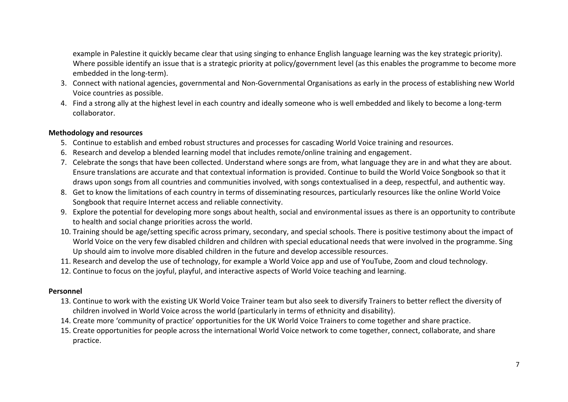example in Palestine it quickly became clear that using singing to enhance English language learning was the key strategic priority). Where possible identify an issue that is a strategic priority at policy/government level (as this enables the programme to become more embedded in the long-term).

- 3. Connect with national agencies, governmental and Non-Governmental Organisations as early in the process of establishing new World Voice countries as possible.
- 4. Find a strong ally at the highest level in each country and ideally someone who is well embedded and likely to become a long-term collaborator.

## **Methodology and resources**

- 5. Continue to establish and embed robust structures and processes for cascading World Voice training and resources.
- 6. Research and develop a blended learning model that includes remote/online training and engagement.
- 7. Celebrate the songs that have been collected. Understand where songs are from, what language they are in and what they are about. Ensure translations are accurate and that contextual information is provided. Continue to build the World Voice Songbook so that it draws upon songs from all countries and communities involved, with songs contextualised in a deep, respectful, and authentic way.
- 8. Get to know the limitations of each country in terms of disseminating resources, particularly resources like the online World Voice Songbook that require Internet access and reliable connectivity.
- 9. Explore the potential for developing more songs about health, social and environmental issues as there is an opportunity to contribute to health and social change priorities across the world.
- 10. Training should be age/setting specific across primary, secondary, and special schools. There is positive testimony about the impact of World Voice on the very few disabled children and children with special educational needs that were involved in the programme. Sing Up should aim to involve more disabled children in the future and develop accessible resources.
- 11. Research and develop the use of technology, for example a World Voice app and use of YouTube, Zoom and cloud technology.
- 12. Continue to focus on the joyful, playful, and interactive aspects of World Voice teaching and learning.

## **Personnel**

- 13. Continue to work with the existing UK World Voice Trainer team but also seek to diversify Trainers to better reflect the diversity of children involved in World Voice across the world (particularly in terms of ethnicity and disability).
- 14. Create more 'community of practice' opportunities for the UK World Voice Trainers to come together and share practice.
- 15. Create opportunities for people across the international World Voice network to come together, connect, collaborate, and share practice.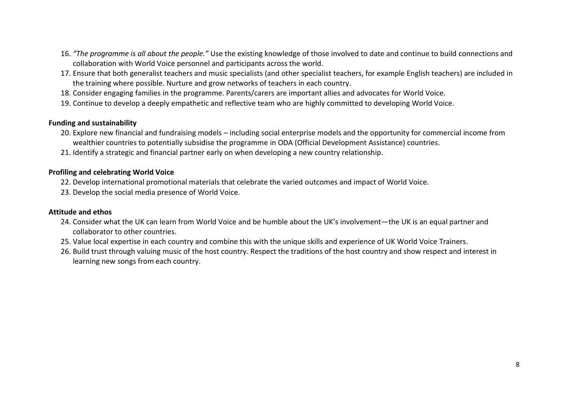- 16. *"The programme is all about the people."* Use the existing knowledge of those involved to date and continue to build connections and collaboration with World Voice personnel and participants across the world.
- 17. Ensure that both generalist teachers and music specialists (and other specialist teachers, for example English teachers) are included in the training where possible. Nurture and grow networks of teachers in each country.
- 18. Consider engaging families in the programme. Parents/carers are important allies and advocates for World Voice.
- 19. Continue to develop a deeply empathetic and reflective team who are highly committed to developing World Voice.

## **Funding and sustainability**

- 20. Explore new financial and fundraising models including social enterprise models and the opportunity for commercial income from wealthier countries to potentially subsidise the programme in ODA (Official Development Assistance) countries.
- 21. Identify a strategic and financial partner early on when developing a new country relationship.

## **Profiling and celebrating World Voice**

- 22. Develop international promotional materials that celebrate the varied outcomes and impact of World Voice.
- 23. Develop the social media presence of World Voice.

## **Attitude and ethos**

- 24. Consider what the UK can learn from World Voice and be humble about the UK's involvement—the UK is an equal partner and collaborator to other countries.
- 25. Value local expertise in each country and combine this with the unique skills and experience of UK World Voice Trainers.
- 26. Build trust through valuing music of the host country. Respect the traditions of the host country and show respect and interest in learning new songs from each country.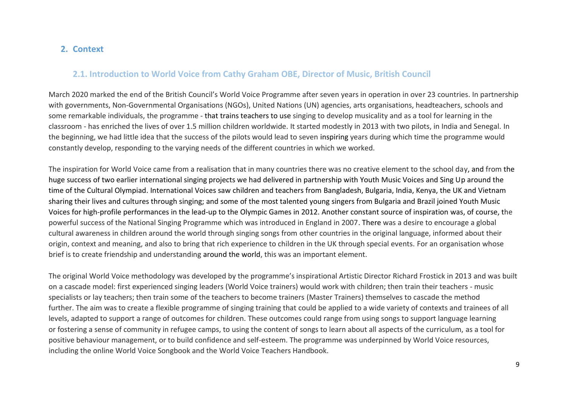## **2. Context**

## **2.1. Introduction to World Voice from Cathy Graham OBE, Director of Music, British Council**

March 2020 marked the end of the British Council's World Voice Programme after seven years in operation in over 23 countries. In partnership with governments, Non-Governmental Organisations (NGOs), United Nations (UN) agencies, arts organisations, headteachers, schools and some remarkable individuals, the programme - that trains teachers to use singing to develop musicality and as a tool for learning in the classroom - has enriched the lives of over 1.5 million children worldwide. It started modestly in 2013 with two pilots, in India and Senegal. In the beginning, we had little idea that the success of the pilots would lead to seven inspiring years during which time the programme would constantly develop, responding to the varying needs of the different countries in which we worked.

The inspiration for World Voice came from a realisation that in many countries there was no creative element to the school day, and from the huge success of two earlier international singing projects we had delivered in partnership with Youth Music Voices and Sing Up around the time of the Cultural Olympiad. International Voices saw children and teachers from Bangladesh, Bulgaria, India, Kenya, the UK and Vietnam sharing their lives and cultures through singing; and some of the most talented young singers from Bulgaria and Brazil joined Youth Music Voices for high-profile performances in the lead-up to the Olympic Games in 2012. Another constant source of inspiration was, of course, the powerful success of the National Singing Programme which was introduced in England in 2007. There was a desire to encourage a global cultural awareness in children around the world through singing songs from other countries in the original language, informed about their origin, context and meaning, and also to bring that rich experience to children in the UK through special events. For an organisation whose brief is to create friendship and understanding around the world, this was an important element.

The original World Voice methodology was developed by the programme's inspirational Artistic Director Richard Frostick in 2013 and was built on a cascade model: first experienced singing leaders (World Voice trainers) would work with children; then train their teachers - music specialists or lay teachers; then train some of the teachers to become trainers (Master Trainers) themselves to cascade the method further. The aim was to create a flexible programme of singing training that could be applied to a wide variety of contexts and trainees of all levels, adapted to support a range of outcomes for children. These outcomes could range from using songs to support language learning or fostering a sense of community in refugee camps, to using the content of songs to learn about all aspects of the curriculum, as a tool for positive behaviour management, or to build confidence and self-esteem. The programme was underpinned by World Voice resources, including the online World Voice Songbook and the World Voice Teachers Handbook.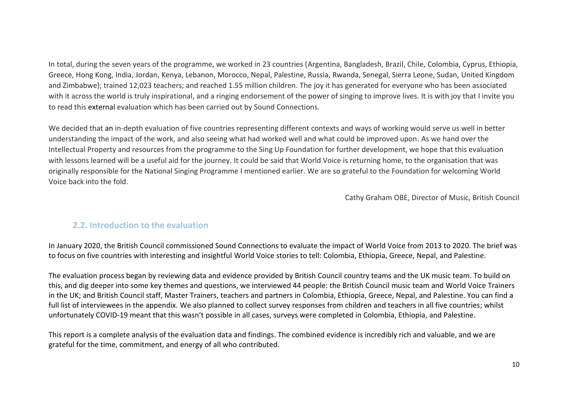In total, during the seven years of the programme, we worked in 23 countries (Argentina, Bangladesh, Brazil, Chile, Colombia, Cyprus, Ethiopia, Greece, Hong Kong, India, Jordan, Kenya, Lebanon, Morocco, Nepal, Palestine, Russia, Rwanda, Senegal, Sierra Leone, Sudan, United Kingdom and Zimbabwe); trained 12,023 teachers; and reached 1.55 million children. The joy it has generated for everyone who has been associated with it across the world is truly inspirational, and a ringing endorsement of the power of singing to improve lives. It is with joy that I invite you to read this external evaluation which has been carried out by Sound Connections.

We decided that an in-depth evaluation of five countries representing different contexts and ways of working would serve us well in better understanding the impact of the work, and also seeing what had worked well and what could be improved upon. As we hand over the Intellectual Property and resources from the programme to the Sing Up Foundation for further development, we hope that this evaluation with lessons learned will be a useful aid for the journey. It could be said that World Voice is returning home, to the organisation that was originally responsible for the National Singing Programme I mentioned earlier. We are so grateful to the Foundation for welcoming World Voice back into the fold.

Cathy Graham OBE, Director of Music, British Council

## **2.2. Introduction to the evaluation**

In January 2020, the British Council commissioned Sound Connections to evaluate the impact of World Voice from 2013 to 2020. The brief was to focus on five countries with interesting and insightful World Voice stories to tell: Colombia, Ethiopia, Greece, Nepal, and Palestine.

The evaluation process began by reviewing data and evidence provided by British Council country teams and the UK music team. To build on this, and dig deeper into some key themes and questions, we interviewed 44 people: the British Council music team and World Voice Trainers in the UK; and British Council staff, Master Trainers, teachers and partners in Colombia, Ethiopia, Greece, Nepal, and Palestine. You can find a full list of interviewees in the appendix. We also planned to collect survey responses from children and teachers in all five countries; whilst unfortunately COVID-19 meant that this wasn't possible in all cases, surveys were completed in Colombia, Ethiopia, and Palestine.

This report is a complete analysis of the evaluation data and findings. The combined evidence is incredibly rich and valuable, and we are grateful for the time, commitment, and energy of all who contributed.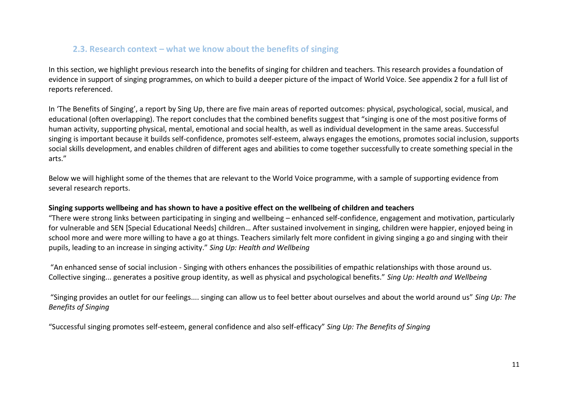## **2.3. Research context – what we know about the benefits of singing**

In this section, we highlight previous research into the benefits of singing for children and teachers. This research provides a foundation of evidence in support of singing programmes, on which to build a deeper picture of the impact of World Voice. See appendix 2 for a full list of reports referenced.

In 'The Benefits of Singing', a report by Sing Up, there are five main areas of reported outcomes: physical, psychological, social, musical, and educational (often overlapping). The report concludes that the combined benefits suggest that "singing is one of the most positive forms of human activity, supporting physical, mental, emotional and social health, as well as individual development in the same areas. Successful singing is important because it builds self-confidence, promotes self-esteem, always engages the emotions, promotes social inclusion, supports social skills development, and enables children of different ages and abilities to come together successfully to create something special in the arts."

Below we will highlight some of the themes that are relevant to the World Voice programme, with a sample of supporting evidence from several research reports.

## **Singing supports wellbeing and has shown to have a positive effect on the wellbeing of children and teachers**

"There were strong links between participating in singing and wellbeing – enhanced self-confidence, engagement and motivation, particularly for vulnerable and SEN [Special Educational Needs] children… After sustained involvement in singing, children were happier, enjoyed being in school more and were more willing to have a go at things. Teachers similarly felt more confident in giving singing a go and singing with their pupils, leading to an increase in singing activity." *Sing Up: Health and Wellbeing*

"An enhanced sense of social inclusion - Singing with others enhances the possibilities of empathic relationships with those around us. Collective singing... generates a positive group identity, as well as physical and psychological benefits." *Sing Up: Health and Wellbeing*

"Singing provides an outlet for our feelings.... singing can allow us to feel better about ourselves and about the world around us" *Sing Up: The Benefits of Singing*

"Successful singing promotes self-esteem, general confidence and also self-efficacy" *Sing Up: The Benefits of Singing*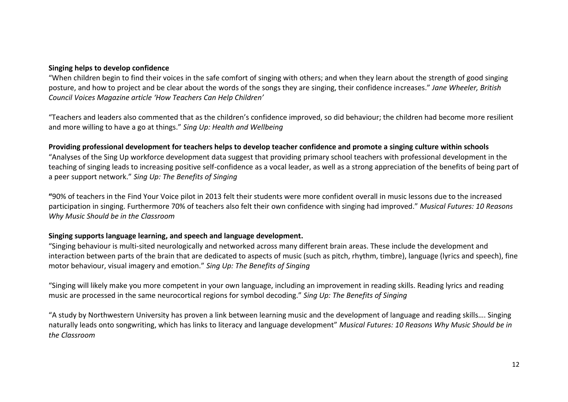## **Singing helps to develop confidence**

"When children begin to find their voices in the safe comfort of singing with others; and when they learn about the strength of good singing posture, and how to project and be clear about the words of the songs they are singing, their confidence increases." *Jane Wheeler, British Council Voices Magazine article 'How Teachers Can Help Children'*

"Teachers and leaders also commented that as the children's confidence improved, so did behaviour; the children had become more resilient and more willing to have a go at things." *Sing Up: Health and Wellbeing*

## **Providing professional development for teachers helps to develop teacher confidence and promote a singing culture within schools**

"Analyses of the Sing Up workforce development data suggest that providing primary school teachers with professional development in the teaching of singing leads to increasing positive self-confidence as a vocal leader, as well as a strong appreciation of the benefits of being part of a peer support network." *Sing Up: The Benefits of Singing*

**"**90% of teachers in the [Find Your Voice](https://www.musicalfutures.org/resource-type/find-your-voice) pilot in 2013 felt their students were more confident overall in music lessons due to the increased participation in singing. Furthermore 70% of teachers also felt their own confidence with singing had improved." *Musical Futures: 10 Reasons Why Music Should be in the Classroom*

## **Singing supports language learning, and speech and language development.**

"Singing behaviour is multi-sited neurologically and networked across many different brain areas. These include the development and interaction between parts of the brain that are dedicated to aspects of music (such as pitch, rhythm, timbre), language (lyrics and speech), fine motor behaviour, visual imagery and emotion." *Sing Up: The Benefits of Singing*

"Singing will likely make you more competent in your own language, including an improvement in reading skills. Reading lyrics and reading music are processed in the same neurocortical regions for symbol decoding." *Sing Up: The Benefits of Singing*

"A study by [Northwestern University](http://www.theatlantic.com/health/archive/2013/10/using-music-to-close-the-academic-gap/280362) has proven a link between learning music and the development of language and reading skills…. Singing naturally leads onto songwriting, which has links to literacy and language development" *Musical Futures: 10 Reasons Why Music Should be in the Classroom*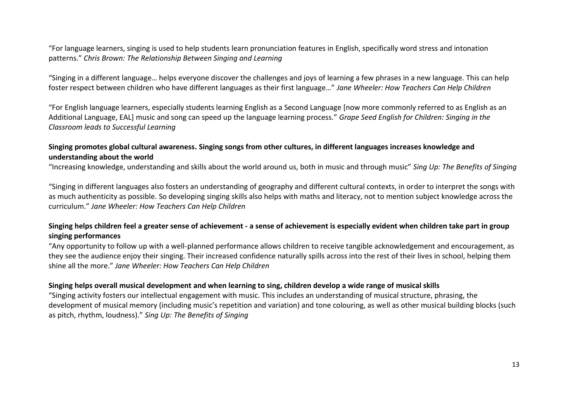"For language learners, singing is used to help students learn pronunciation features in English, specifically word stress and intonation patterns." *Chris Brown: The Relationship Between Singing and Learning*

"Singing in a different language… helps everyone discover the challenges and joys of learning a few phrases in a new language. This can help foster respect between children who have different languages as their first language…" *Jane Wheeler: How Teachers Can Help Children*

"For English language learners, especially students learning English as a Second Language [now more commonly referred to as English as an Additional Language, EAL] music and song can speed up the language learning process." *Grape Seed English for Children: Singing in the Classroom leads to Successful Learning*

## **Singing promotes global cultural awareness. Singing songs from other cultures, in different languages increases knowledge and understanding about the world**

"Increasing knowledge, understanding and skills about the world around us, both in music and through music" *Sing Up: The Benefits of Singing*

"Singing in different languages also fosters an understanding of geography and different cultural contexts, in order to interpret the songs with as much authenticity as possible. So developing singing skills also helps with maths and literacy, not to mention subject knowledge across the curriculum." *Jane Wheeler: How Teachers Can Help Children*

## **Singing helps children feel a greater sense of achievement - a sense of achievement is especially evident when children take part in group singing performances**

"Any opportunity to follow up with a well-planned performance allows children to receive tangible acknowledgement and encouragement, as they see the audience enjoy their singing. Their increased confidence naturally spills across into the rest of their lives in school, helping them shine all the more." *Jane Wheeler: How Teachers Can Help Children*

## **Singing helps overall musical development and when learning to sing, children develop a wide range of musical skills**

"Singing activity fosters our intellectual engagement with music. This includes an understanding of musical structure, phrasing, the development of musical memory (including music's repetition and variation) and tone colouring, as well as other musical building blocks (such as pitch, rhythm, loudness)." *Sing Up: The Benefits of Singing*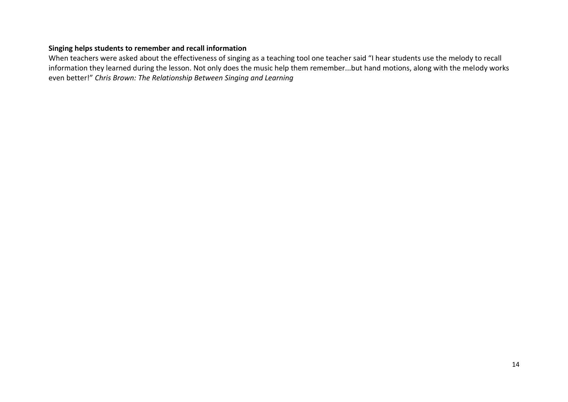## **Singing helps students to remember and recall information**

When teachers were asked about the effectiveness of singing as a teaching tool one teacher said "I hear students use the melody to recall information they learned during the lesson. Not only does the music help them remember...but hand motions, along with the melody works even better!" *Chris Brown: The Relationship Between Singing and Learning*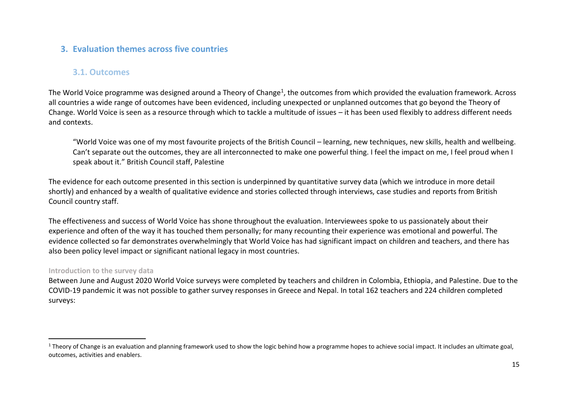## **3. Evaluation themes across five countries**

## **3.1. Outcomes**

The World Voice programme was designed around a Theory of Change<sup>1</sup>, the outcomes from which provided the evaluation framework. Across all countries a wide range of outcomes have been evidenced, including unexpected or unplanned outcomes that go beyond the Theory of Change. World Voice is seen as a resource through which to tackle a multitude of issues – it has been used flexibly to address different needs and contexts.

"World Voice was one of my most favourite projects of the British Council – learning, new techniques, new skills, health and wellbeing. Can't separate out the outcomes, they are all interconnected to make one powerful thing. I feel the impact on me, I feel proud when I speak about it." British Council staff, Palestine

The evidence for each outcome presented in this section is underpinned by quantitative survey data (which we introduce in more detail shortly) and enhanced by a wealth of qualitative evidence and stories collected through interviews, case studies and reports from British Council country staff.

The effectiveness and success of World Voice has shone throughout the evaluation. Interviewees spoke to us passionately about their experience and often of the way it has touched them personally; for many recounting their experience was emotional and powerful. The evidence collected so far demonstrates overwhelmingly that World Voice has had significant impact on children and teachers, and there has also been policy level impact or significant national legacy in most countries.

## **Introduction to the survey data**

Between June and August 2020 World Voice surveys were completed by teachers and children in Colombia, Ethiopia, and Palestine. Due to the COVID-19 pandemic it was not possible to gather survey responses in Greece and Nepal. In total 162 teachers and 224 children completed surveys:

 $1$  Theory of Change is an evaluation and planning framework used to show the logic behind how a programme hopes to achieve social impact. It includes an ultimate goal, outcomes, activities and enablers.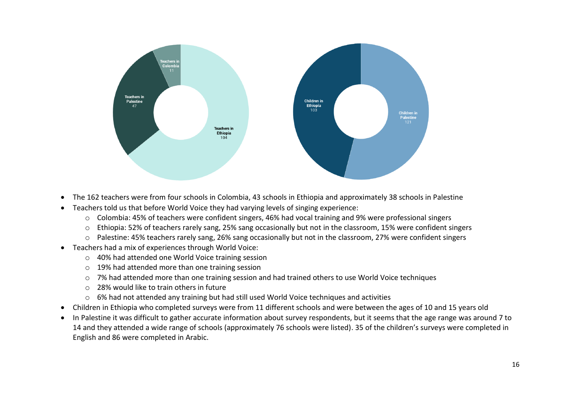

- The 162 teachers were from four schools in Colombia, 43 schools in Ethiopia and approximately 38 schools in Palestine
- Teachers told us that before World Voice they had varying levels of singing experience:
	- o Colombia: 45% of teachers were confident singers, 46% had vocal training and 9% were professional singers
	- o Ethiopia: 52% of teachers rarely sang, 25% sang occasionally but not in the classroom, 15% were confident singers
	- o Palestine: 45% teachers rarely sang, 26% sang occasionally but not in the classroom, 27% were confident singers
- Teachers had a mix of experiences through World Voice:
	- o 40% had attended one World Voice training session
	- o 19% had attended more than one training session
	- o 7% had attended more than one training session and had trained others to use World Voice techniques
	- o 28% would like to train others in future
	- o 6% had not attended any training but had still used World Voice techniques and activities
- Children in Ethiopia who completed surveys were from 11 different schools and were between the ages of 10 and 15 years old
- In Palestine it was difficult to gather accurate information about survey respondents, but it seems that the age range was around 7 to 14 and they attended a wide range of schools (approximately 76 schools were listed). 35 of the children's surveys were completed in English and 86 were completed in Arabic.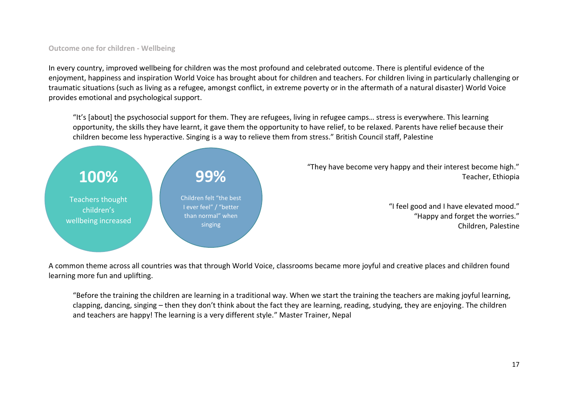## **Outcome one for children - Wellbeing**

In every country, improved wellbeing for children was the most profound and celebrated outcome. There is plentiful evidence of the enjoyment, happiness and inspiration World Voice has brought about for children and teachers. For children living in particularly challenging or traumatic situations (such as living as a refugee, amongst conflict, in extreme poverty or in the aftermath of a natural disaster) World Voice provides emotional and psychological support.

"It's [about] the psychosocial support for them. They are refugees, living in refugee camps… stress is everywhere. This learning opportunity, the skills they have learnt, it gave them the opportunity to have relief, to be relaxed. Parents have relief because their children become less hyperactive. Singing is a way to relieve them from stress." British Council staff, Palestine



"They have become very happy and their interest become high." Teacher, Ethiopia

> "I feel good and I have elevated mood." "Happy and forget the worries." Children, Palestine

A common theme across all countries was that through World Voice, classrooms became more joyful and creative places and children found learning more fun and uplifting.

"Before the training the children are learning in a traditional way. When we start the training the teachers are making joyful learning, clapping, dancing, singing – then they don't think about the fact they are learning, reading, studying, they are enjoying. The children and teachers are happy! The learning is a very different style." Master Trainer, Nepal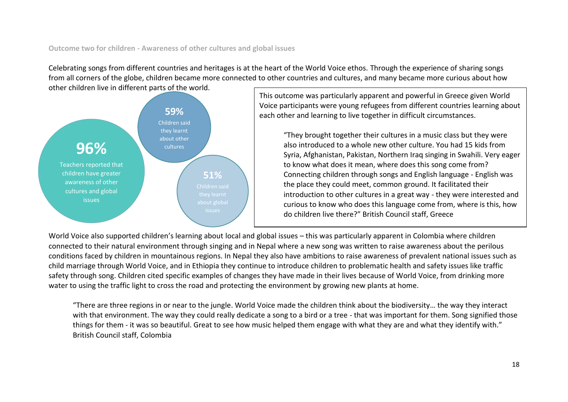**Outcome two for children - Awareness of other cultures and global issues**

Celebrating songs from different countries and heritages is at the heart of the World Voice ethos. Through the experience of sharing songs from all corners of the globe, children became more connected to other countries and cultures, and many became more curious about how other children live in different parts of the world.



This outcome was particularly apparent and powerful in Greece given World Voice participants were young refugees from different countries learning about each other and learning to live together in difficult circumstances.

"They brought together their cultures in a music class but they were also introduced to a whole new other culture. You had 15 kids from Syria, Afghanistan, Pakistan, Northern Iraq singing in Swahili. Very eager to know what does it mean, where does this song come from? Connecting children through songs and English language - English was the place they could meet, common ground. It facilitated their introduction to other cultures in a great way - they were interested and curious to know who does this language come from, where is this, how do children live there?" British Council staff, Greece

World Voice also supported children's learning about local and global issues – this was particularly apparent in Colombia where children connected to their natural environment through singing and in Nepal where a new song was written to raise awareness about the perilous conditions faced by children in mountainous regions. In Nepal they also have ambitions to raise awareness of prevalent national issues such as child marriage through World Voice, and in Ethiopia they continue to introduce children to problematic health and safety issues like traffic safety through song. Children cited specific examples of changes they have made in their lives because of World Voice, from drinking more water to using the traffic light to cross the road and protecting the environment by growing new plants at home.

"There are three regions in or near to the jungle. World Voice made the children think about the biodiversity… the way they interact with that environment. The way they could really dedicate a song to a bird or a tree - that was important for them. Song signified those things for them - it was so beautiful. Great to see how music helped them engage with what they are and what they identify with." British Council staff, Colombia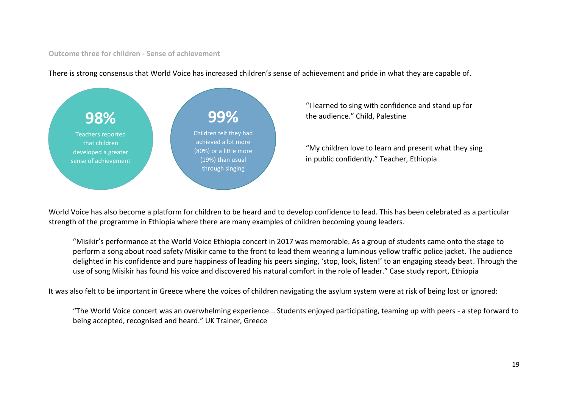#### **Outcome three for children - Sense of achievement**



There is strong consensus that World Voice has increased children's sense of achievement and pride in what they are capable of.

"I learned to sing with confidence and stand up for the audience." Child, Palestine

"My children love to learn and present what they sing in public confidently." Teacher, Ethiopia

World Voice has also become a platform for children to be heard and to develop confidence to lead. This has been celebrated as a particular strength of the programme in Ethiopia where there are many examples of children becoming young leaders.

"Misikir's performance at the World Voice Ethiopia concert in 2017 was memorable. As a group of students came onto the stage to perform a song about road safety Misikir came to the front to lead them wearing a luminous yellow traffic police jacket. The audience delighted in his confidence and pure happiness of leading his peers singing, 'stop, look, listen!' to an engaging steady beat. Through the use of song Misikir has found his voice and discovered his natural comfort in the role of leader." Case study report, Ethiopia

It was also felt to be important in Greece where the voices of children navigating the asylum system were at risk of being lost or ignored:

"The World Voice concert was an overwhelming experience... Students enjoyed participating, teaming up with peers - a step forward to being accepted, recognised and heard." UK Trainer, Greece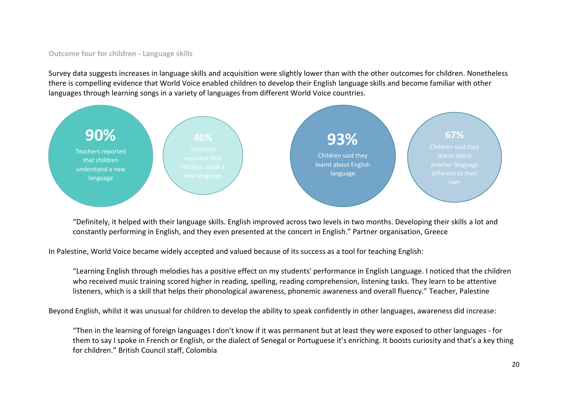## **Outcome four for children - Language skills**

Survey data suggests increases in language skills and acquisition were slightly lower than with the other outcomes for children. Nonetheless there is compelling evidence that World Voice enabled children to develop their English language skills and become familiar with other languages through learning songs in a variety of languages from different World Voice countries.



"Definitely, it helped with their language skills. English improved across two levels in two months. Developing their skills a lot and constantly performing in English, and they even presented at the concert in English." Partner organisation, Greece

In Palestine, World Voice became widely accepted and valued because of its success as a tool for teaching English:

"Learning English through melodies has a positive effect on my students' performance in English Language. I noticed that the children who received music training scored higher in reading, spelling, reading comprehension, listening tasks. They learn to be attentive listeners, which is a skill that helps their phonological awareness, phonemic awareness and overall fluency." Teacher, Palestine

Beyond English, whilst it was unusual for children to develop the ability to speak confidently in other languages, awareness did increase:

"Then in the learning of foreign languages I don't know if it was permanent but at least they were exposed to other languages - for them to say I spoke in French or English, or the dialect of Senegal or Portuguese it's enriching. It boosts curiosity and that's a key thing for children." British Council staff, Colombia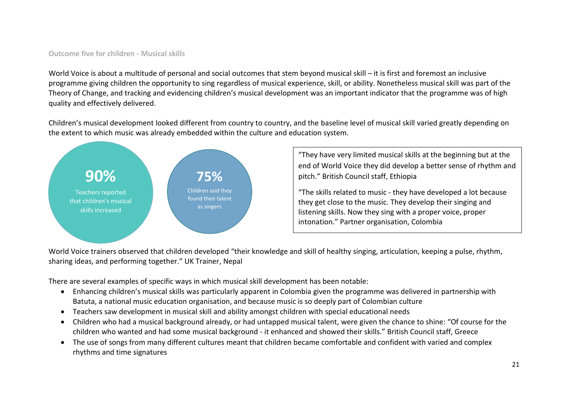## **Outcome five for children - Musical skills**

World Voice is about a multitude of personal and social outcomes that stem beyond musical skill – it is first and foremost an inclusive programme giving children the opportunity to sing regardless of musical experience, skill, or ability. Nonetheless musical skill was part of the Theory of Change, and tracking and evidencing children's musical development was an important indicator that the programme was of high quality and effectively delivered.

Children's musical development looked different from country to country, and the baseline level of musical skill varied greatly depending on the extent to which music was already embedded within the culture and education system.



"They have very limited musical skills at the beginning but at the end of World Voice they did develop a better sense of rhythm and pitch." British Council staff, Ethiopia

"The skills related to music - they have developed a lot because they get close to the music. They develop their singing and listening skills. Now they sing with a proper voice, proper intonation." Partner organisation, Colombia

World Voice trainers observed that children developed "their knowledge and skill of healthy singing, articulation, keeping a pulse, rhythm, sharing ideas, and performing together." UK Trainer, Nepal

There are several examples of specific ways in which musical skill development has been notable:

- Enhancing children's musical skills was particularly apparent in Colombia given the programme was delivered in partnership with Batuta, a national music education organisation, and because music is so deeply part of Colombian culture
- Teachers saw development in musical skill and ability amongst children with special educational needs
- Children who had a musical background already, or had untapped musical talent, were given the chance to shine: "Of course for the children who wanted and had some musical background - it enhanced and showed their skills." British Council staff, Greece
- The use of songs from many different cultures meant that children became comfortable and confident with varied and complex rhythms and time signatures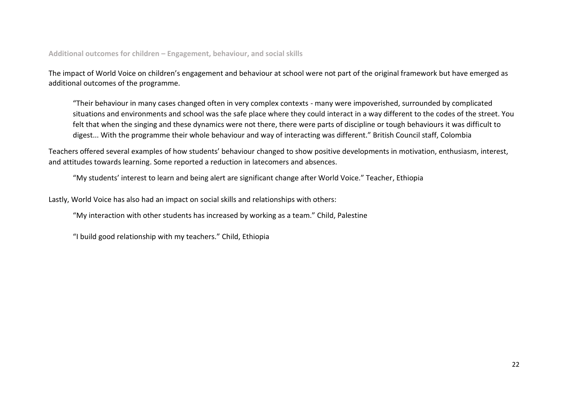**Additional outcomes for children – Engagement, behaviour, and social skills**

The impact of World Voice on children's engagement and behaviour at school were not part of the original framework but have emerged as additional outcomes of the programme.

"Their behaviour in many cases changed often in very complex contexts - many were impoverished, surrounded by complicated situations and environments and school was the safe place where they could interact in a way different to the codes of the street. You felt that when the singing and these dynamics were not there, there were parts of discipline or tough behaviours it was difficult to digest... With the programme their whole behaviour and way of interacting was different." British Council staff, Colombia

Teachers offered several examples of how students' behaviour changed to show positive developments in motivation, enthusiasm, interest, and attitudes towards learning. Some reported a reduction in latecomers and absences.

"My students' interest to learn and being alert are significant change after World Voice." Teacher, Ethiopia

Lastly, World Voice has also had an impact on social skills and relationships with others:

"My interaction with other students has increased by working as a team." Child, Palestine

"I build good relationship with my teachers." Child, Ethiopia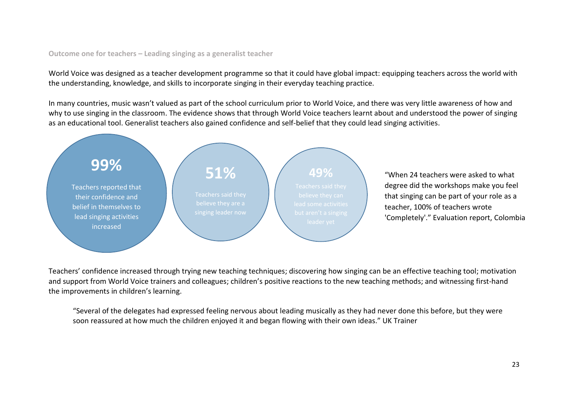## **Outcome one for teachers – Leading singing as a generalist teacher**

World Voice was designed as a teacher development programme so that it could have global impact: equipping teachers across the world with the understanding, knowledge, and skills to incorporate singing in their everyday teaching practice.

In many countries, music wasn't valued as part of the school curriculum prior to World Voice, and there was very little awareness of how and why to use singing in the classroom. The evidence shows that through World Voice teachers learnt about and understood the power of singing as an educational tool. Generalist teachers also gained confidence and self-belief that they could lead singing activities.



Teachers' confidence increased through trying new teaching techniques; discovering how singing can be an effective teaching tool; motivation and support from World Voice trainers and colleagues; children's positive reactions to the new teaching methods; and witnessing first-hand the improvements in children's learning.

"Several of the delegates had expressed feeling nervous about leading musically as they had never done this before, but they were soon reassured at how much the children enjoyed it and began flowing with their own ideas." UK Trainer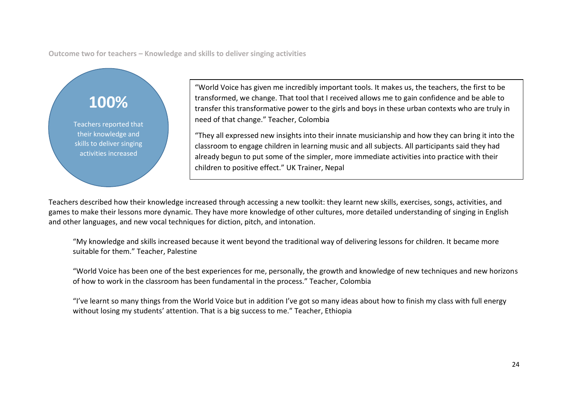**Outcome two for teachers – Knowledge and skills to deliver singing activities**

## **100%**

Teachers reported that their knowledge and skills to deliver singing activities increased

"World Voice has given me incredibly important tools. It makes us, the teachers, the first to be transformed, we change. That tool that I received allows me to gain confidence and be able to transfer this transformative power to the girls and boys in these urban contexts who are truly in need of that change." Teacher, Colombia

"They all expressed new insights into their innate musicianship and how they can bring it into the classroom to engage children in learning music and all subjects. All participants said they had already begun to put some of the simpler, more immediate activities into practice with their children to positive effect." UK Trainer, Nepal

Teachers described how their knowledge increased through accessing a new toolkit: they learnt new skills, exercises, songs, activities, and games to make their lessons more dynamic. They have more knowledge of other cultures, more detailed understanding of singing in English and other languages, and new vocal techniques for diction, pitch, and intonation.

"My knowledge and skills increased because it went beyond the traditional way of delivering lessons for children. It became more suitable for them." Teacher, Palestine

"World Voice has been one of the best experiences for me, personally, the growth and knowledge of new techniques and new horizons of how to work in the classroom has been fundamental in the process." Teacher, Colombia

"I've learnt so many things from the World Voice but in addition I've got so many ideas about how to finish my class with full energy without losing my students' attention. That is a big success to me." Teacher, Ethiopia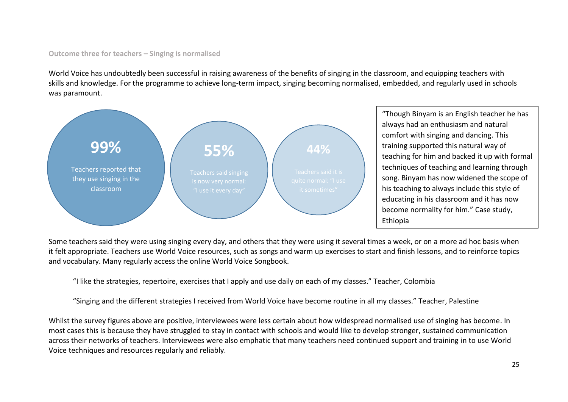## **Outcome three for teachers – Singing is normalised**

World Voice has undoubtedly been successful in raising awareness of the benefits of singing in the classroom, and equipping teachers with skills and knowledge. For the programme to achieve long-term impact, singing becoming normalised, embedded, and regularly used in schools was paramount.



"Though Binyam is an English teacher he has always had an enthusiasm and natural comfort with singing and dancing. This training supported this natural way of teaching for him and backed it up with formal techniques of teaching and learning through song. Binyam has now widened the scope of his teaching to always include this style of educating in his classroom and it has now become normality for him." Case study, Ethiopia

Some teachers said they were using singing every day, and others that they were using it several times a week, or on a more ad hoc basis when it felt appropriate. Teachers use World Voice resources, such as songs and warm up exercises to start and finish lessons, and to reinforce topics and vocabulary. Many regularly access the online World Voice Songbook.

"I like the strategies, repertoire, exercises that I apply and use daily on each of my classes." Teacher, Colombia

"Singing and the different strategies I received from World Voice have become routine in all my classes." Teacher, Palestine

Whilst the survey figures above are positive, interviewees were less certain about how widespread normalised use of singing has become. In most cases this is because they have struggled to stay in contact with schools and would like to develop stronger, sustained communication across their networks of teachers. Interviewees were also emphatic that many teachers need continued support and training in to use World Voice techniques and resources regularly and reliably.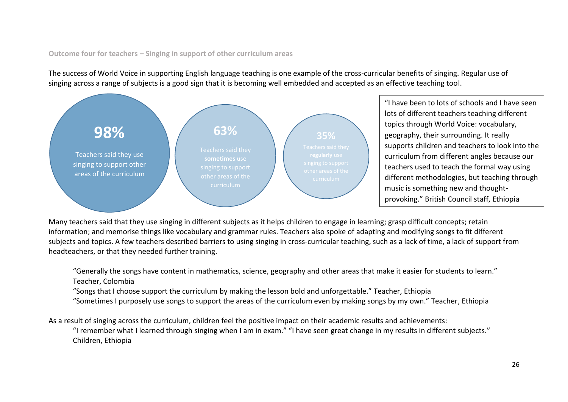## **Outcome four for teachers – Singing in support of other curriculum areas**

The success of World Voice in supporting English language teaching is one example of the cross-curricular benefits of singing. Regular use of singing across a range of subjects is a good sign that it is becoming well embedded and accepted as an effective teaching tool.



"I have been to lots of schools and I have seen lots of different teachers teaching different topics through World Voice: vocabulary, geography, their surrounding. It really supports children and teachers to look into the curriculum from different angles because our teachers used to teach the formal way using different methodologies, but teaching through music is something new and thoughtprovoking." British Council staff, Ethiopia

Many teachers said that they use singing in different subjects as it helps children to engage in learning; grasp difficult concepts; retain information; and memorise things like vocabulary and grammar rules. Teachers also spoke of adapting and modifying songs to fit different subjects and topics. A few teachers described barriers to using singing in cross-curricular teaching, such as a lack of time, a lack of support from headteachers, or that they needed further training.

"Generally the songs have content in mathematics, science, geography and other areas that make it easier for students to learn." Teacher, Colombia

"Songs that I choose support the curriculum by making the lesson bold and unforgettable." Teacher, Ethiopia

"Sometimes I purposely use songs to support the areas of the curriculum even by making songs by my own." Teacher, Ethiopia

As a result of singing across the curriculum, children feel the positive impact on their academic results and achievements:

"I remember what I learned through singing when I am in exam." "I have seen great change in my results in different subjects." Children, Ethiopia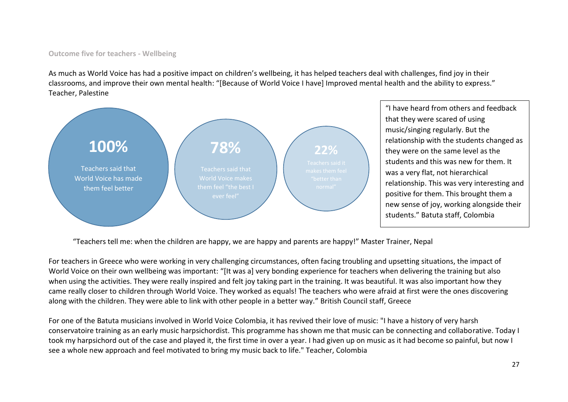#### **Outcome five for teachers - Wellbeing**

As much as World Voice has had a positive impact on children's wellbeing, it has helped teachers deal with challenges, find joy in their classrooms, and improve their own mental health: "[Because of World Voice I have] Improved mental health and the ability to express." Teacher, Palestine



"I have heard from others and feedback that they were scared of using music/singing regularly. But the relationship with the students changed as they were on the same level as the students and this was new for them. It was a very flat, not hierarchical relationship. This was very interesting and positive for them. This brought them a new sense of joy, working alongside their students." Batuta staff, Colombia

"Teachers tell me: when the children are happy, we are happy and parents are happy!" Master Trainer, Nepal

For teachers in Greece who were working in very challenging circumstances, often facing troubling and upsetting situations, the impact of World Voice on their own wellbeing was important: "[It was a] very bonding experience for teachers when delivering the training but also when using the activities. They were really inspired and felt joy taking part in the training. It was beautiful. It was also important how they came really closer to children through World Voice. They worked as equals! The teachers who were afraid at first were the ones discovering along with the children. They were able to link with other people in a better way." British Council staff, Greece

For one of the Batuta musicians involved in World Voice Colombia, it has revived their love of music: "I have a history of very harsh conservatoire training as an early music harpsichordist. This programme has shown me that music can be connecting and collaborative. Today I took my harpsichord out of the case and played it, the first time in over a year. I had given up on music as it had become so painful, but now I see a whole new approach and feel motivated to bring my music back to life." Teacher, Colombia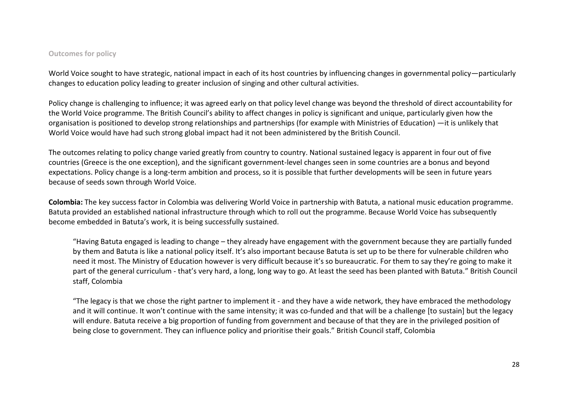#### **Outcomes for policy**

World Voice sought to have strategic, national impact in each of its host countries by influencing changes in governmental policy—particularly changes to education policy leading to greater inclusion of singing and other cultural activities.

Policy change is challenging to influence; it was agreed early on that policy level change was beyond the threshold of direct accountability for the World Voice programme. The British Council's ability to affect changes in policy is significant and unique, particularly given how the organisation is positioned to develop strong relationships and partnerships (for example with Ministries of Education) —it is unlikely that World Voice would have had such strong global impact had it not been administered by the British Council.

The outcomes relating to policy change varied greatly from country to country. National sustained legacy is apparent in four out of five countries (Greece is the one exception), and the significant government-level changes seen in some countries are a bonus and beyond expectations. Policy change is a long-term ambition and process, so it is possible that further developments will be seen in future years because of seeds sown through World Voice.

**Colombia:** The key success factor in Colombia was delivering World Voice in partnership with Batuta, a national music education programme. Batuta provided an established national infrastructure through which to roll out the programme. Because World Voice has subsequently become embedded in Batuta's work, it is being successfully sustained.

"Having Batuta engaged is leading to change – they already have engagement with the government because they are partially funded by them and Batuta is like a national policy itself. It's also important because Batuta is set up to be there for vulnerable children who need it most. The Ministry of Education however is very difficult because it's so bureaucratic. For them to say they're going to make it part of the general curriculum - that's very hard, a long, long way to go. At least the seed has been planted with Batuta." British Council staff, Colombia

"The legacy is that we chose the right partner to implement it - and they have a wide network, they have embraced the methodology and it will continue. It won't continue with the same intensity; it was co-funded and that will be a challenge [to sustain] but the legacy will endure. Batuta receive a big proportion of funding from government and because of that they are in the privileged position of being close to government. They can influence policy and prioritise their goals." British Council staff, Colombia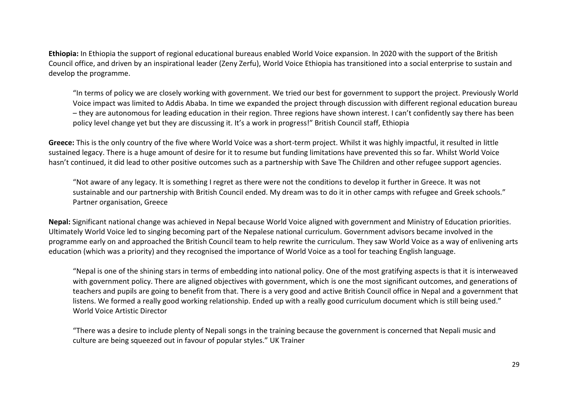**Ethiopia:** In Ethiopia the support of regional educational bureaus enabled World Voice expansion. In 2020 with the support of the British Council office, and driven by an inspirational leader (Zeny Zerfu), World Voice Ethiopia has transitioned into a social enterprise to sustain and develop the programme.

"In terms of policy we are closely working with government. We tried our best for government to support the project. Previously World Voice impact was limited to Addis Ababa. In time we expanded the project through discussion with different regional education bureau – they are autonomous for leading education in their region. Three regions have shown interest. I can't confidently say there has been policy level change yet but they are discussing it. It's a work in progress!" British Council staff, Ethiopia

**Greece:** This is the only country of the five where World Voice was a short-term project. Whilst it was highly impactful, it resulted in little sustained legacy. There is a huge amount of desire for it to resume but funding limitations have prevented this so far. Whilst World Voice hasn't continued, it did lead to other positive outcomes such as a partnership with Save The Children and other refugee support agencies.

"Not aware of any legacy. It is something I regret as there were not the conditions to develop it further in Greece. It was not sustainable and our partnership with British Council ended. My dream was to do it in other camps with refugee and Greek schools." Partner organisation, Greece

**Nepal:** Significant national change was achieved in Nepal because World Voice aligned with government and Ministry of Education priorities. Ultimately World Voice led to singing becoming part of the Nepalese national curriculum. Government advisors became involved in the programme early on and approached the British Council team to help rewrite the curriculum. They saw World Voice as a way of enlivening arts education (which was a priority) and they recognised the importance of World Voice as a tool for teaching English language.

"Nepal is one of the shining stars in terms of embedding into national policy. One of the most gratifying aspects is that it is interweaved with government policy. There are aligned objectives with government, which is one the most significant outcomes, and generations of teachers and pupils are going to benefit from that. There is a very good and active British Council office in Nepal and a government that listens. We formed a really good working relationship. Ended up with a really good curriculum document which is still being used." World Voice Artistic Director

"There was a desire to include plenty of Nepali songs in the training because the government is concerned that Nepali music and culture are being squeezed out in favour of popular styles." UK Trainer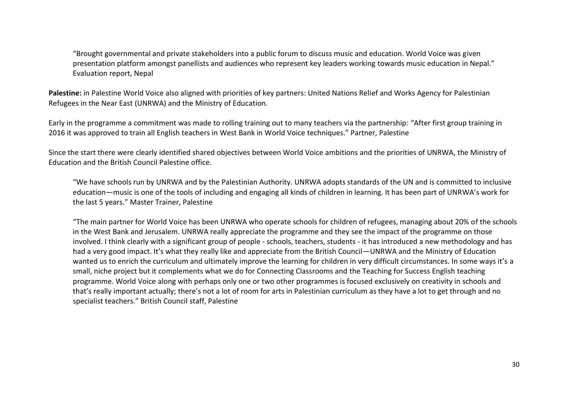"Brought governmental and private stakeholders into a public forum to discuss music and education. World Voice was given presentation platform amongst panellists and audiences who represent key leaders working towards music education in Nepal." Evaluation report, Nepal

**Palestine:** in Palestine World Voice also aligned with priorities of key partners: United Nations Relief and Works Agency for Palestinian Refugees in the Near East (UNRWA) and the Ministry of Education.

Early in the programme a commitment was made to rolling training out to many teachers via the partnership: "After first group training in 2016 it was approved to train all English teachers in West Bank in World Voice techniques." Partner, Palestine

Since the start there were clearly identified shared objectives between World Voice ambitions and the priorities of UNRWA, the Ministry of Education and the British Council Palestine office.

"We have schools run by UNRWA and by the Palestinian Authority. UNRWA adopts standards of the UN and is committed to inclusive education—music is one of the tools of including and engaging all kinds of children in learning. It has been part of UNRWA's work for the last 5 years." Master Trainer, Palestine

"The main partner for World Voice has been UNRWA who operate schools for children of refugees, managing about 20% of the schools in the West Bank and Jerusalem. UNRWA really appreciate the programme and they see the impact of the programme on those involved. I think clearly with a significant group of people - schools, teachers, students - it has introduced a new methodology and has had a very good impact. It's what they really like and appreciate from the British Council—UNRWA and the Ministry of Education wanted us to enrich the curriculum and ultimately improve the learning for children in very difficult circumstances. In some ways it's a small, niche project but it complements what we do for Connecting Classrooms and the Teaching for Success English teaching programme. World Voice along with perhaps only one or two other programmes is focused exclusively on creativity in schools and that's really important actually; there's not a lot of room for arts in Palestinian curriculum as they have a lot to get through and no specialist teachers." British Council staff, Palestine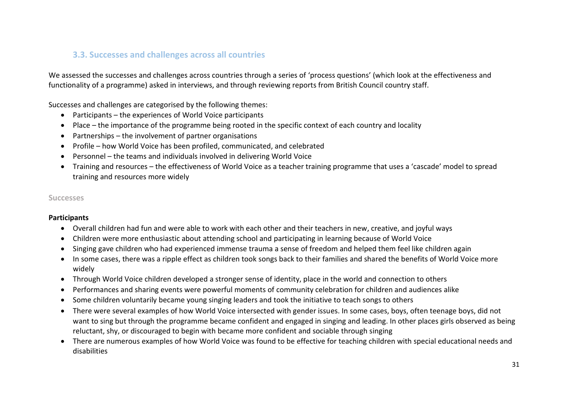## **3.3. Successes and challenges across all countries**

We assessed the successes and challenges across countries through a series of 'process questions' (which look at the effectiveness and functionality of a programme) asked in interviews, and through reviewing reports from British Council country staff.

Successes and challenges are categorised by the following themes:

- Participants the experiences of World Voice participants
- Place the importance of the programme being rooted in the specific context of each country and locality
- Partnerships the involvement of partner organisations
- Profile how World Voice has been profiled, communicated, and celebrated
- Personnel the teams and individuals involved in delivering World Voice
- Training and resources the effectiveness of World Voice as a teacher training programme that uses a 'cascade' model to spread training and resources more widely

#### **Successes**

#### **Participants**

- Overall children had fun and were able to work with each other and their teachers in new, creative, and joyful ways
- Children were more enthusiastic about attending school and participating in learning because of World Voice
- Singing gave children who had experienced immense trauma a sense of freedom and helped them feel like children again
- In some cases, there was a ripple effect as children took songs back to their families and shared the benefits of World Voice more widely
- Through World Voice children developed a stronger sense of identity, place in the world and connection to others
- Performances and sharing events were powerful moments of community celebration for children and audiences alike
- Some children voluntarily became young singing leaders and took the initiative to teach songs to others
- There were several examples of how World Voice intersected with gender issues. In some cases, boys, often teenage boys, did not want to sing but through the programme became confident and engaged in singing and leading. In other places girls observed as being reluctant, shy, or discouraged to begin with became more confident and sociable through singing
- There are numerous examples of how World Voice was found to be effective for teaching children with special educational needs and disabilities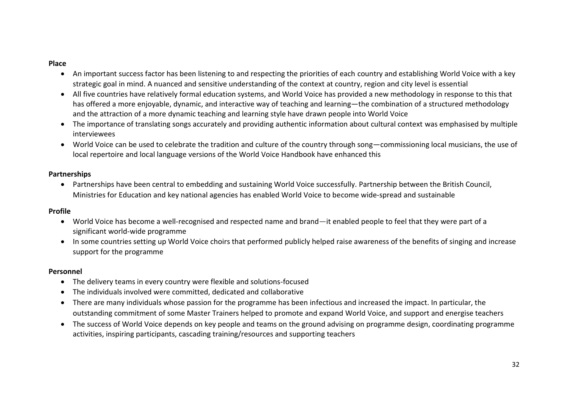## **Place**

- An important success factor has been listening to and respecting the priorities of each country and establishing World Voice with a key strategic goal in mind. A nuanced and sensitive understanding of the context at country, region and city level is essential
- All five countries have relatively formal education systems, and World Voice has provided a new methodology in response to this that has offered a more enjoyable, dynamic, and interactive way of teaching and learning—the combination of a structured methodology and the attraction of a more dynamic teaching and learning style have drawn people into World Voice
- The importance of translating songs accurately and providing authentic information about cultural context was emphasised by multiple interviewees
- World Voice can be used to celebrate the tradition and culture of the country through song—commissioning local musicians, the use of local repertoire and local language versions of the World Voice Handbook have enhanced this

## **Partnerships**

• Partnerships have been central to embedding and sustaining World Voice successfully. Partnership between the British Council, Ministries for Education and key national agencies has enabled World Voice to become wide-spread and sustainable

## **Profile**

- World Voice has become a well-recognised and respected name and brand—it enabled people to feel that they were part of a significant world-wide programme
- In some countries setting up World Voice choirs that performed publicly helped raise awareness of the benefits of singing and increase support for the programme

## **Personnel**

- The delivery teams in every country were flexible and solutions-focused
- The individuals involved were committed, dedicated and collaborative
- There are many individuals whose passion for the programme has been infectious and increased the impact. In particular, the outstanding commitment of some Master Trainers helped to promote and expand World Voice, and support and energise teachers
- The success of World Voice depends on key people and teams on the ground advising on programme design, coordinating programme activities, inspiring participants, cascading training/resources and supporting teachers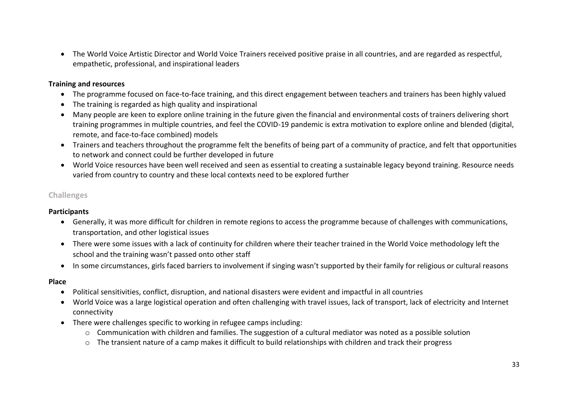• The World Voice Artistic Director and World Voice Trainers received positive praise in all countries, and are regarded as respectful, empathetic, professional, and inspirational leaders

## **Training and resources**

- The programme focused on face-to-face training, and this direct engagement between teachers and trainers has been highly valued
- The training is regarded as high quality and inspirational
- Many people are keen to explore online training in the future given the financial and environmental costs of trainers delivering short training programmes in multiple countries, and feel the COVID-19 pandemic is extra motivation to explore online and blended (digital, remote, and face-to-face combined) models
- Trainers and teachers throughout the programme felt the benefits of being part of a community of practice, and felt that opportunities to network and connect could be further developed in future
- World Voice resources have been well received and seen as essential to creating a sustainable legacy beyond training. Resource needs varied from country to country and these local contexts need to be explored further

## **Challenges**

## **Participants**

- Generally, it was more difficult for children in remote regions to access the programme because of challenges with communications, transportation, and other logistical issues
- There were some issues with a lack of continuity for children where their teacher trained in the World Voice methodology left the school and the training wasn't passed onto other staff
- In some circumstances, girls faced barriers to involvement if singing wasn't supported by their family for religious or cultural reasons

## **Place**

- Political sensitivities, conflict, disruption, and national disasters were evident and impactful in all countries
- World Voice was a large logistical operation and often challenging with travel issues, lack of transport, lack of electricity and Internet connectivity
- There were challenges specific to working in refugee camps including:
	- o Communication with children and families. The suggestion of a cultural mediator was noted as a possible solution
	- o The transient nature of a camp makes it difficult to build relationships with children and track their progress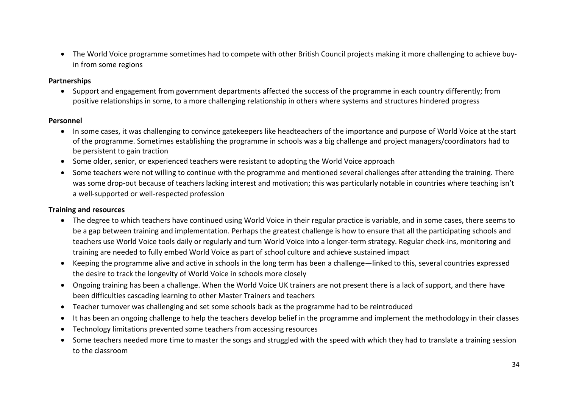• The World Voice programme sometimes had to compete with other British Council projects making it more challenging to achieve buyin from some regions

## **Partnerships**

• Support and engagement from government departments affected the success of the programme in each country differently; from positive relationships in some, to a more challenging relationship in others where systems and structures hindered progress

## **Personnel**

- In some cases, it was challenging to convince gatekeepers like headteachers of the importance and purpose of World Voice at the start of the programme. Sometimes establishing the programme in schools was a big challenge and project managers/coordinators had to be persistent to gain traction
- Some older, senior, or experienced teachers were resistant to adopting the World Voice approach
- Some teachers were not willing to continue with the programme and mentioned several challenges after attending the training. There was some drop-out because of teachers lacking interest and motivation; this was particularly notable in countries where teaching isn't a well-supported or well-respected profession

## **Training and resources**

- The degree to which teachers have continued using World Voice in their regular practice is variable, and in some cases, there seems to be a gap between training and implementation. Perhaps the greatest challenge is how to ensure that all the participating schools and teachers use World Voice tools daily or regularly and turn World Voice into a longer-term strategy. Regular check-ins, monitoring and training are needed to fully embed World Voice as part of school culture and achieve sustained impact
- Keeping the programme alive and active in schools in the long term has been a challenge—linked to this, several countries expressed the desire to track the longevity of World Voice in schools more closely
- Ongoing training has been a challenge. When the World Voice UK trainers are not present there is a lack of support, and there have been difficulties cascading learning to other Master Trainers and teachers
- Teacher turnover was challenging and set some schools back as the programme had to be reintroduced
- It has been an ongoing challenge to help the teachers develop belief in the programme and implement the methodology in their classes
- Technology limitations prevented some teachers from accessing resources
- Some teachers needed more time to master the songs and struggled with the speed with which they had to translate a training session to the classroom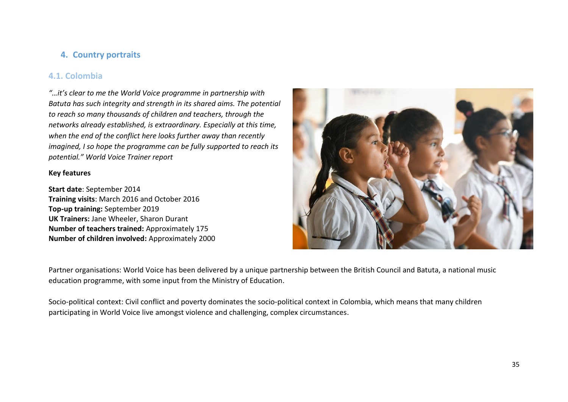## **4. Country portraits**

## **4.1. Colombia**

*"…it's clear to me the World Voice programme in partnership with Batuta has such integrity and strength in its shared aims. The potential to reach so many thousands of children and teachers, through the networks already established, is extraordinary. Especially at this time, when the end of the conflict here looks further away than recently imagined, I so hope the programme can be fully supported to reach its potential." World Voice Trainer report*

## **Key features**

**Start date**: September 2014 **Training visits**: March 2016 and October 2016 **Top-up training:** September 2019 **UK Trainers:** Jane Wheeler, Sharon Durant **Number of teachers trained:** Approximately 175 **Number of children involved:** Approximately 2000



Partner organisations: World Voice has been delivered by a unique partnership between the British Council and Batuta, a national music education programme, with some input from the Ministry of Education.

Socio-political context: Civil conflict and poverty dominates the socio-political context in Colombia, which means that many children participating in World Voice live amongst violence and challenging, complex circumstances.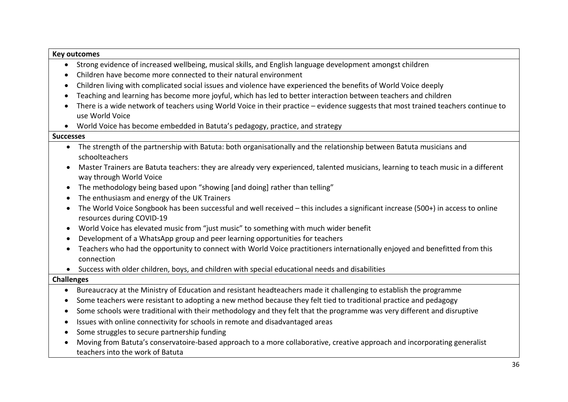| <b>Key outcomes</b> |                                                                                                                                                               |
|---------------------|---------------------------------------------------------------------------------------------------------------------------------------------------------------|
| $\bullet$           | Strong evidence of increased wellbeing, musical skills, and English language development amongst children                                                     |
| $\bullet$           | Children have become more connected to their natural environment                                                                                              |
| $\bullet$           | Children living with complicated social issues and violence have experienced the benefits of World Voice deeply                                               |
| $\bullet$           | Teaching and learning has become more joyful, which has led to better interaction between teachers and children                                               |
| $\bullet$           | There is a wide network of teachers using World Voice in their practice - evidence suggests that most trained teachers continue to<br>use World Voice         |
|                     | World Voice has become embedded in Batuta's pedagogy, practice, and strategy                                                                                  |
| <b>Successes</b>    |                                                                                                                                                               |
| $\bullet$           | The strength of the partnership with Batuta: both organisationally and the relationship between Batuta musicians and<br>schoolteachers                        |
|                     | Master Trainers are Batuta teachers: they are already very experienced, talented musicians, learning to teach music in a different<br>way through World Voice |
| $\bullet$           | The methodology being based upon "showing [and doing] rather than telling"                                                                                    |
| $\bullet$           | The enthusiasm and energy of the UK Trainers                                                                                                                  |
|                     | The World Voice Songbook has been successful and well received - this includes a significant increase (500+) in access to online<br>resources during COVID-19 |
| $\bullet$           | World Voice has elevated music from "just music" to something with much wider benefit                                                                         |
| $\bullet$           | Development of a WhatsApp group and peer learning opportunities for teachers                                                                                  |
|                     | Teachers who had the opportunity to connect with World Voice practitioners internationally enjoyed and benefitted from this<br>connection                     |
|                     | Success with older children, boys, and children with special educational needs and disabilities                                                               |
| <b>Challenges</b>   |                                                                                                                                                               |
| $\bullet$           | Bureaucracy at the Ministry of Education and resistant headteachers made it challenging to establish the programme                                            |
| $\bullet$           | Some teachers were resistant to adopting a new method because they felt tied to traditional practice and pedagogy                                             |
| $\bullet$           | Some schools were traditional with their methodology and they felt that the programme was very different and disruptive                                       |
| $\bullet$           | Issues with online connectivity for schools in remote and disadvantaged areas                                                                                 |
| $\bullet$           | Some struggles to secure partnership funding                                                                                                                  |
|                     | Moving from Batuta's conservatoire-based approach to a more collaborative, creative approach and incorporating generalist<br>teachers into the work of Batuta |

 $\mathsf{r}$ 

 $\overline{\phantom{0}}$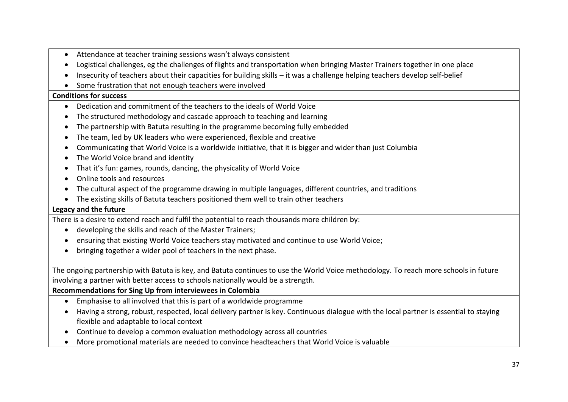- Attendance at teacher training sessions wasn't always consistent
- Logistical challenges, eg the challenges of flights and transportation when bringing Master Trainers together in one place
- Insecurity of teachers about their capacities for building skills it was a challenge helping teachers develop self-belief
- Some frustration that not enough teachers were involved

## **Conditions for success**

- Dedication and commitment of the teachers to the ideals of World Voice
- The structured methodology and cascade approach to teaching and learning
- The partnership with Batuta resulting in the programme becoming fully embedded
- The team, led by UK leaders who were experienced, flexible and creative
- Communicating that World Voice is a worldwide initiative, that it is bigger and wider than just Columbia
- The World Voice brand and identity
- That it's fun: games, rounds, dancing, the physicality of World Voice
- Online tools and resources
- The cultural aspect of the programme drawing in multiple languages, different countries, and traditions
- The existing skills of Batuta teachers positioned them well to train other teachers

## **Legacy and the future**

There is a desire to extend reach and fulfil the potential to reach thousands more children by:

- developing the skills and reach of the Master Trainers;
- ensuring that existing World Voice teachers stay motivated and continue to use World Voice;
- bringing together a wider pool of teachers in the next phase.

The ongoing partnership with Batuta is key, and Batuta continues to use the World Voice methodology. To reach more schools in future involving a partner with better access to schools nationally would be a strength.

**Recommendations for Sing Up from interviewees in Colombia**

- Emphasise to all involved that this is part of a worldwide programme
- Having a strong, robust, respected, local delivery partner is key. Continuous dialogue with the local partner is essential to staying flexible and adaptable to local context
- Continue to develop a common evaluation methodology across all countries
- More promotional materials are needed to convince headteachers that World Voice is valuable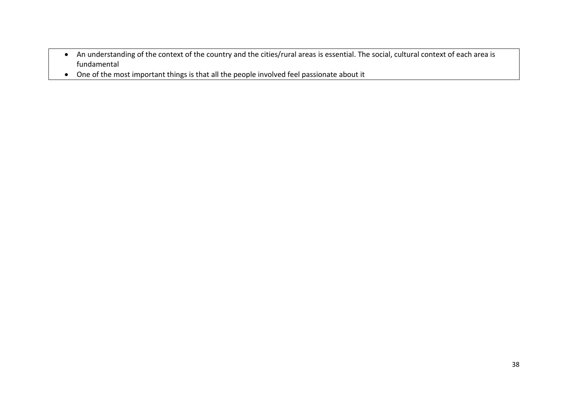- An understanding of the context of the country and the cities/rural areas is essential. The social, cultural context of each area is fundamental
- One of the most important things is that all the people involved feel passionate about it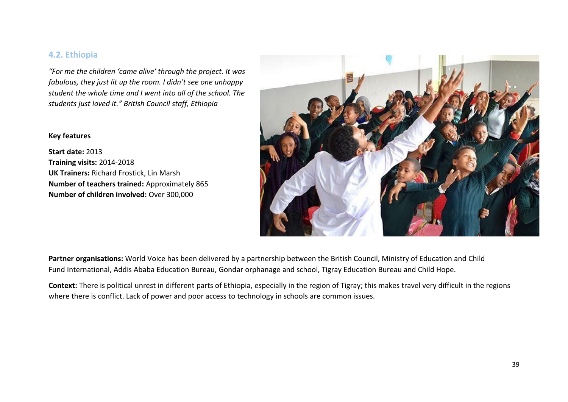## **4.2. Ethiopia**

*"For me the children 'came alive' through the project. It was fabulous, they just lit up the room. I didn't see one unhappy student the whole time and I went into all of the school. The students just loved it." British Council staff, Ethiopia*

## **Key features**

**Start date:** 2013 **Training visits:** 2014-2018 **UK Trainers:** Richard Frostick, Lin Marsh **Number of teachers trained:** Approximately 865 **Number of children involved:** Over 300,000



**Partner organisations:** World Voice has been delivered by a partnership between the British Council, Ministry of Education and Child Fund International, Addis Ababa Education Bureau, Gondar orphanage and school, Tigray Education Bureau and Child Hope.

**Context:** There is political unrest in different parts of Ethiopia, especially in the region of Tigray; this makes travel very difficult in the regions where there is conflict. Lack of power and poor access to technology in schools are common issues.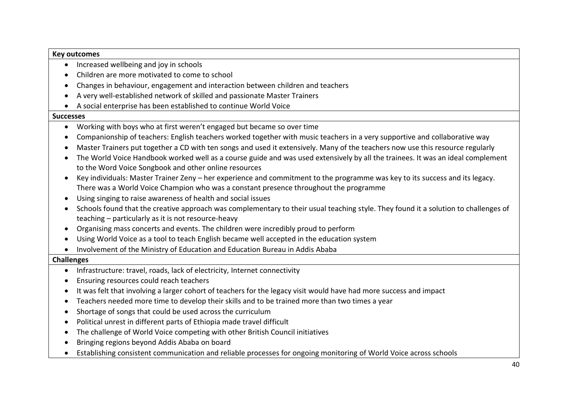## **Key outcomes**

- Increased wellbeing and joy in schools
- Children are more motivated to come to school
- Changes in behaviour, engagement and interaction between children and teachers
- A very well-established network of skilled and passionate Master Trainers
- A social enterprise has been established to continue World Voice

#### **Successes**

- Working with boys who at first weren't engaged but became so over time
- Companionship of teachers: English teachers worked together with music teachers in a very supportive and collaborative way
- Master Trainers put together a CD with ten songs and used it extensively. Many of the teachers now use this resource regularly
- The World Voice Handbook worked well as a course guide and was used extensively by all the trainees. It was an ideal complement to the Word Voice Songbook and other online resources
- Key individuals: Master Trainer Zeny her experience and commitment to the programme was key to its success and its legacy. There was a World Voice Champion who was a constant presence throughout the programme
- Using singing to raise awareness of health and social issues
- Schools found that the creative approach was complementary to their usual teaching style. They found it a solution to challenges of teaching – particularly as it is not resource-heavy
- Organising mass concerts and events. The children were incredibly proud to perform
- Using World Voice as a tool to teach English became well accepted in the education system
- Involvement of the Ministry of Education and Education Bureau in Addis Ababa

#### **Challenges**

- Infrastructure: travel, roads, lack of electricity, Internet connectivity
- Ensuring resources could reach teachers
- It was felt that involving a larger cohort of teachers for the legacy visit would have had more success and impact
- Teachers needed more time to develop their skills and to be trained more than two times a year
- Shortage of songs that could be used across the curriculum
- Political unrest in different parts of Ethiopia made travel difficult
- The challenge of World Voice competing with other British Council initiatives
- Bringing regions beyond Addis Ababa on board
- Establishing consistent communication and reliable processes for ongoing monitoring of World Voice across schools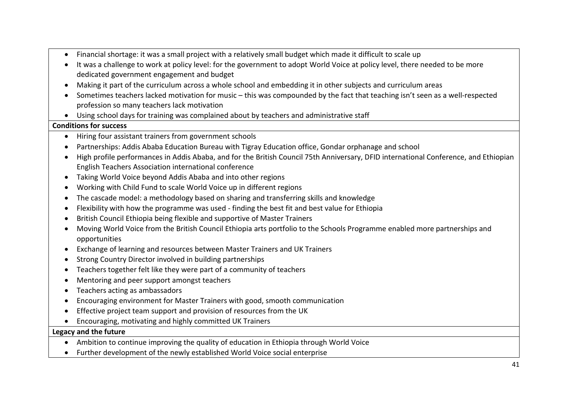- Financial shortage: it was a small project with a relatively small budget which made it difficult to scale up
- It was a challenge to work at policy level: for the government to adopt World Voice at policy level, there needed to be more dedicated government engagement and budget
- Making it part of the curriculum across a whole school and embedding it in other subjects and curriculum areas
- Sometimes teachers lacked motivation for music this was compounded by the fact that teaching isn't seen as a well-respected profession so many teachers lack motivation
- Using school days for training was complained about by teachers and administrative staff

## **Conditions for success**

- Hiring four assistant trainers from government schools
- Partnerships: Addis Ababa Education Bureau with Tigray Education office, Gondar orphanage and school
- High profile performances in Addis Ababa, and for the British Council 75th Anniversary, DFID international Conference, and Ethiopian English Teachers Association international conference
- Taking World Voice beyond Addis Ababa and into other regions
- Working with Child Fund to scale World Voice up in different regions
- The cascade model: a methodology based on sharing and transferring skills and knowledge
- Flexibility with how the programme was used finding the best fit and best value for Ethiopia
- British Council Ethiopia being flexible and supportive of Master Trainers
- Moving World Voice from the British Council Ethiopia arts portfolio to the Schools Programme enabled more partnerships and opportunities
- Exchange of learning and resources between Master Trainers and UK Trainers
- Strong Country Director involved in building partnerships
- Teachers together felt like they were part of a community of teachers
- Mentoring and peer support amongst teachers
- Teachers acting as ambassadors
- Encouraging environment for Master Trainers with good, smooth communication
- Effective project team support and provision of resources from the UK
- Encouraging, motivating and highly committed UK Trainers

## **Legacy and the future**

- Ambition to continue improving the quality of education in Ethiopia through World Voice
- Further development of the newly established World Voice social enterprise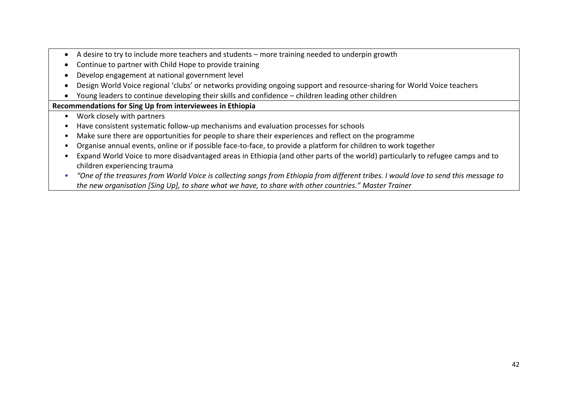- A desire to try to include more teachers and students more training needed to underpin growth
- Continue to partner with Child Hope to provide training
- Develop engagement at national government level
- Design World Voice regional 'clubs' or networks providing ongoing support and resource-sharing for World Voice teachers
- Young leaders to continue developing their skills and confidence children leading other children

## **Recommendations for Sing Up from interviewees in Ethiopia**

- Work closely with partners
- Have consistent systematic follow-up mechanisms and evaluation processes for schools
- Make sure there are opportunities for people to share their experiences and reflect on the programme
- Organise annual events, online or if possible face-to-face, to provide a platform for children to work together
- Expand World Voice to more disadvantaged areas in Ethiopia (and other parts of the world) particularly to refugee camps and to children experiencing trauma
- *"One of the treasures from World Voice is collecting songs from Ethiopia from different tribes. I would love to send this message to the new organisation [Sing Up], to share what we have, to share with other countries." Master Trainer*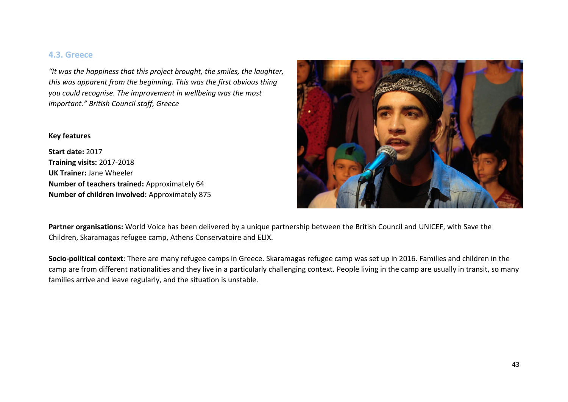## **4.3. Greece**

*"It was the happiness that this project brought, the smiles, the laughter, this was apparent from the beginning. This was the first obvious thing you could recognise. The improvement in wellbeing was the most important." British Council staff, Greece*

## **Key features**

**Start date:** 2017 **Training visits:** 2017-2018 **UK Trainer:** Jane Wheeler **Number of teachers trained:** Approximately 64 **Number of children involved:** Approximately 875



**Partner organisations:** World Voice has been delivered by a unique partnership between the British Council and UNICEF, with Save the Children, Skaramagas refugee camp, Athens Conservatoire and ELIX.

**Socio-political context**: There are many refugee camps in Greece. Skaramagas refugee camp was set up in 2016. Families and children in the camp are from different nationalities and they live in a particularly challenging context. People living in the camp are usually in transit, so many families arrive and leave regularly, and the situation is unstable.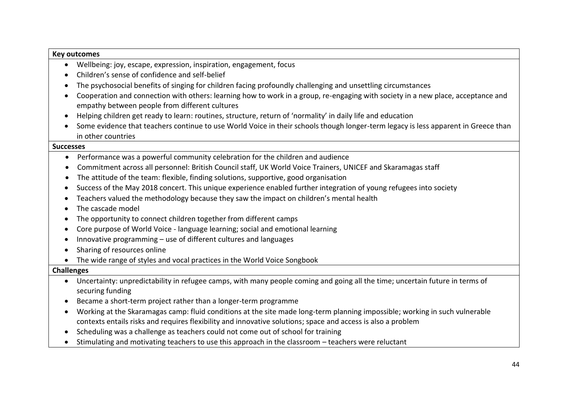## **Key outcomes**

- Wellbeing: joy, escape, expression, inspiration, engagement, focus
- Children's sense of confidence and self-belief
- The psychosocial benefits of singing for children facing profoundly challenging and unsettling circumstances
- Cooperation and connection with others: learning how to work in a group, re-engaging with society in a new place, acceptance and empathy between people from different cultures
- Helping children get ready to learn: routines, structure, return of 'normality' in daily life and education
- Some evidence that teachers continue to use World Voice in their schools though longer-term legacy is less apparent in Greece than in other countries

#### **Successes**

- Performance was a powerful community celebration for the children and audience
- Commitment across all personnel: British Council staff, UK World Voice Trainers, UNICEF and Skaramagas staff
- The attitude of the team: flexible, finding solutions, supportive, good organisation
- Success of the May 2018 concert. This unique experience enabled further integration of young refugees into society
- Teachers valued the methodology because they saw the impact on children's mental health
- The cascade model
- The opportunity to connect children together from different camps
- Core purpose of World Voice language learning; social and emotional learning
- Innovative programming use of different cultures and languages
- Sharing of resources online
- The wide range of styles and vocal practices in the World Voice Songbook

## **Challenges**

- Uncertainty: unpredictability in refugee camps, with many people coming and going all the time; uncertain future in terms of securing funding
- Became a short-term project rather than a longer-term programme
- Working at the Skaramagas camp: fluid conditions at the site made long-term planning impossible; working in such vulnerable contexts entails risks and requires flexibility and innovative solutions; space and access is also a problem
- Scheduling was a challenge as teachers could not come out of school for training
- Stimulating and motivating teachers to use this approach in the classroom teachers were reluctant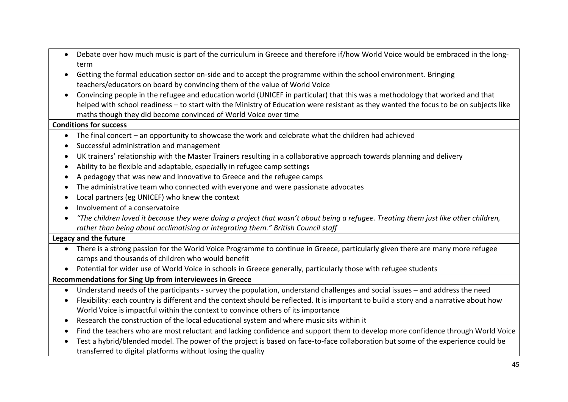- Debate over how much music is part of the curriculum in Greece and therefore if/how World Voice would be embraced in the longterm
- Getting the formal education sector on-side and to accept the programme within the school environment. Bringing teachers/educators on board by convincing them of the value of World Voice
- Convincing people in the refugee and education world (UNICEF in particular) that this was a methodology that worked and that helped with school readiness – to start with the Ministry of Education were resistant as they wanted the focus to be on subjects like maths though they did become convinced of World Voice over time

## **Conditions for success**

- The final concert an opportunity to showcase the work and celebrate what the children had achieved
- Successful administration and management
- UK trainers' relationship with the Master Trainers resulting in a collaborative approach towards planning and delivery
- Ability to be flexible and adaptable, especially in refugee camp settings
- A pedagogy that was new and innovative to Greece and the refugee camps
- The administrative team who connected with everyone and were passionate advocates
- Local partners (eg UNICEF) who knew the context
- Involvement of a conservatoire
- *"The children loved it because they were doing a project that wasn't about being a refugee. Treating them just like other children, rather than being about acclimatising or integrating them." British Council staff*

## **Legacy and the future**

- There is a strong passion for the World Voice Programme to continue in Greece, particularly given there are many more refugee camps and thousands of children who would benefit
- Potential for wider use of World Voice in schools in Greece generally, particularly those with refugee students

## **Recommendations for Sing Up from interviewees in Greece**

- Understand needs of the participants survey the population, understand challenges and social issues and address the need
- Flexibility: each country is different and the context should be reflected. It is important to build a story and a narrative about how World Voice is impactful within the context to convince others of its importance
- Research the construction of the local educational system and where music sits within it
- Find the teachers who are most reluctant and lacking confidence and support them to develop more confidence through World Voice
- Test a hybrid/blended model. The power of the project is based on face-to-face collaboration but some of the experience could be transferred to digital platforms without losing the quality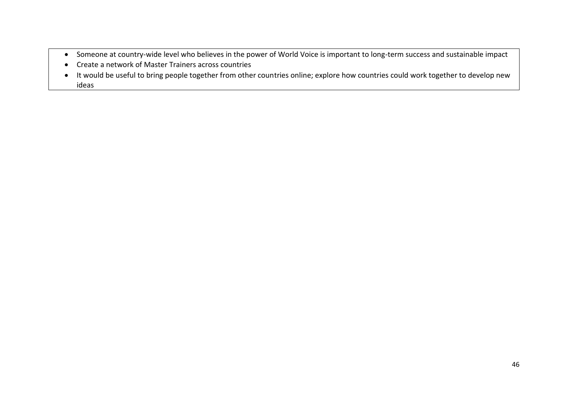- Someone at country-wide level who believes in the power of World Voice is important to long-term success and sustainable impact
- Create a network of Master Trainers across countries
- It would be useful to bring people together from other countries online; explore how countries could work together to develop new ideas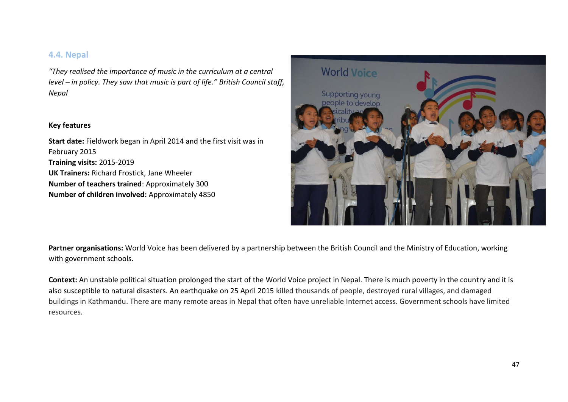## **4.4. Nepal**

*"They realised the importance of music in the curriculum at a central level – in policy. They saw that music is part of life." British Council staff, Nepal*

#### **Key features**

**Start date:** Fieldwork began in April 2014 and the first visit was in February 2015 **Training visits:** 2015-2019 **UK Trainers:** Richard Frostick, Jane Wheeler **Number of teachers trained**: Approximately 300 **Number of children involved:** Approximately 4850



**Partner organisations:** World Voice has been delivered by a partnership between the British Council and the Ministry of Education, working with government schools.

**Context:** An unstable political situation prolonged the start of the World Voice project in Nepal. There is much poverty in the country and it is also susceptible to natural disasters. An earthquake on 25 April 2015 killed thousands of people, destroyed rural villages, and damaged buildings in Kathmandu. There are many remote areas in Nepal that often have unreliable Internet access. Government schools have limited resources.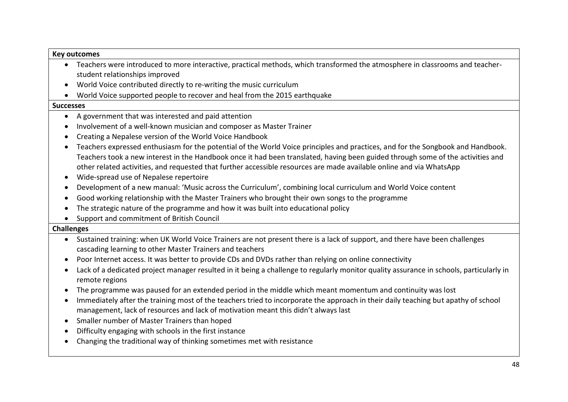#### **Key outcomes**

- Teachers were introduced to more interactive, practical methods, which transformed the atmosphere in classrooms and teacherstudent relationships improved
- World Voice contributed directly to re-writing the music curriculum
- World Voice supported people to recover and heal from the 2015 earthquake

#### **Successes**

- A government that was interested and paid attention
- Involvement of a well-known musician and composer as Master Trainer
- Creating a Nepalese version of the World Voice Handbook
- Teachers expressed enthusiasm for the potential of the World Voice principles and practices, and for the Songbook and Handbook. Teachers took a new interest in the Handbook once it had been translated, having been guided through some of the activities and other related activities, and requested that further accessible resources are made available online and via WhatsApp
- Wide-spread use of Nepalese repertoire
- Development of a new manual: 'Music across the Curriculum', combining local curriculum and World Voice content
- Good working relationship with the Master Trainers who brought their own songs to the programme
- The strategic nature of the programme and how it was built into educational policy
- Support and commitment of British Council

## **Challenges**

- Sustained training: when UK World Voice Trainers are not present there is a lack of support, and there have been challenges cascading learning to other Master Trainers and teachers
- Poor Internet access. It was better to provide CDs and DVDs rather than relying on online connectivity
- Lack of a dedicated project manager resulted in it being a challenge to regularly monitor quality assurance in schools, particularly in remote regions
- The programme was paused for an extended period in the middle which meant momentum and continuity was lost
- Immediately after the training most of the teachers tried to incorporate the approach in their daily teaching but apathy of school management, lack of resources and lack of motivation meant this didn't always last
- Smaller number of Master Trainers than hoped
- Difficulty engaging with schools in the first instance
- Changing the traditional way of thinking sometimes met with resistance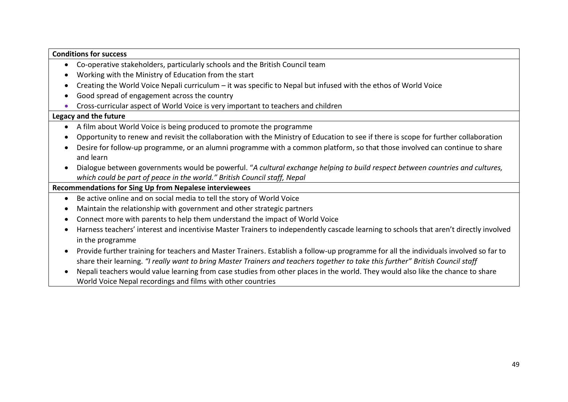## **Conditions for success**

- Co-operative stakeholders, particularly schools and the British Council team
- Working with the Ministry of Education from the start
- Creating the World Voice Nepali curriculum it was specific to Nepal but infused with the ethos of World Voice
- Good spread of engagement across the country
- Cross-curricular aspect of World Voice is very important to teachers and children

## **Legacy and the future**

- A film about World Voice is being produced to promote the programme
- Opportunity to renew and revisit the collaboration with the Ministry of Education to see if there is scope for further collaboration
- Desire for follow-up programme, or an alumni programme with a common platform, so that those involved can continue to share and learn
- Dialogue between governments would be powerful. "*A cultural exchange helping to build respect between countries and cultures, which could be part of peace in the world." British Council staff, Nepal*

## **Recommendations for Sing Up from Nepalese interviewees**

- Be active online and on social media to tell the story of World Voice
- Maintain the relationship with government and other strategic partners
- Connect more with parents to help them understand the impact of World Voice
- Harness teachers' interest and incentivise Master Trainers to independently cascade learning to schools that aren't directly involved in the programme
- Provide further training for teachers and Master Trainers. Establish a follow-up programme for all the individuals involved so far to share their learning. *"I really want to bring Master Trainers and teachers together to take this further" British Council staff*
- Nepali teachers would value learning from case studies from other places in the world. They would also like the chance to share World Voice Nepal recordings and films with other countries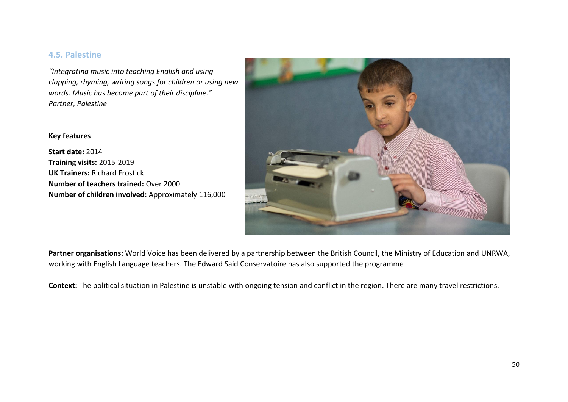## **4.5. Palestine**

*"Integrating music into teaching English and using clapping, rhyming, writing songs for children or using new words. Music has become part of their discipline." Partner, Palestine*

## **Key features**

**Start date:** 2014 **Training visits:** 2015-2019 **UK Trainers:** Richard Frostick **Number of teachers trained:** Over 2000 **Number of children involved:** Approximately 116,000



**Partner organisations:** World Voice has been delivered by a partnership between the British Council, the Ministry of Education and UNRWA, working with English Language teachers. The Edward Said Conservatoire has also supported the programme

**Context:** The political situation in Palestine is unstable with ongoing tension and conflict in the region. There are many travel restrictions.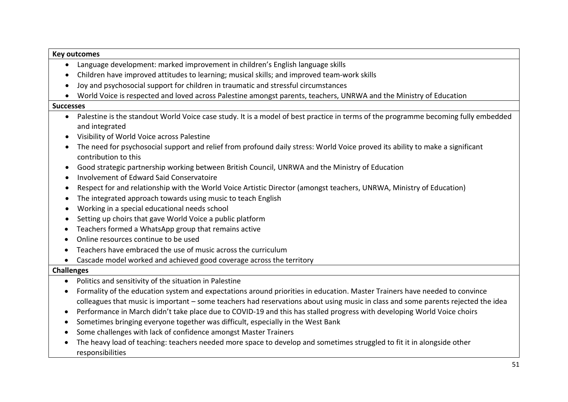## **Key outcomes**

- Language development: marked improvement in children's English language skills
- Children have improved attitudes to learning; musical skills; and improved team-work skills
- Joy and psychosocial support for children in traumatic and stressful circumstances
- World Voice is respected and loved across Palestine amongst parents, teachers, UNRWA and the Ministry of Education

#### **Successes**

- Palestine is the standout World Voice case study. It is a model of best practice in terms of the programme becoming fully embedded and integrated
- Visibility of World Voice across Palestine
- The need for psychosocial support and relief from profound daily stress: World Voice proved its ability to make a significant contribution to this
- Good strategic partnership working between British Council, UNRWA and the Ministry of Education
- Involvement of Edward Said Conservatoire
- Respect for and relationship with the World Voice Artistic Director (amongst teachers, UNRWA, Ministry of Education)
- The integrated approach towards using music to teach English
- Working in a special educational needs school
- Setting up choirs that gave World Voice a public platform
- Teachers formed a WhatsApp group that remains active
- Online resources continue to be used
- Teachers have embraced the use of music across the curriculum
- Cascade model worked and achieved good coverage across the territory

## **Challenges**

- Politics and sensitivity of the situation in Palestine
- Formality of the education system and expectations around priorities in education. Master Trainers have needed to convince colleagues that music is important – some teachers had reservations about using music in class and some parents rejected the idea
- Performance in March didn't take place due to COVID-19 and this has stalled progress with developing World Voice choirs
- Sometimes bringing everyone together was difficult, especially in the West Bank
- Some challenges with lack of confidence amongst Master Trainers
- The heavy load of teaching: teachers needed more space to develop and sometimes struggled to fit it in alongside other responsibilities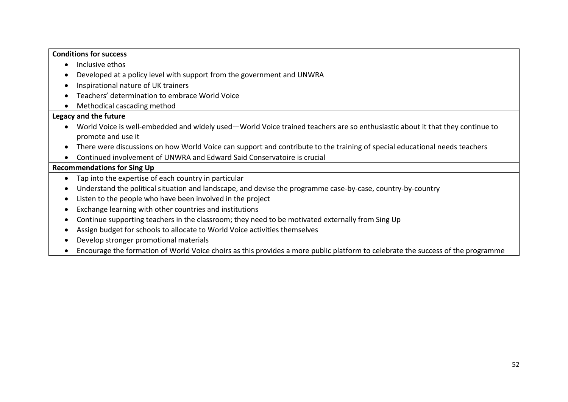## **Conditions for success**

- Inclusive ethos
- Developed at a policy level with support from the government and UNWRA
- Inspirational nature of UK trainers
- Teachers' determination to embrace World Voice
- Methodical cascading method

## **Legacy and the future**

- World Voice is well-embedded and widely used—World Voice trained teachers are so enthusiastic about it that they continue to promote and use it
- There were discussions on how World Voice can support and contribute to the training of special educational needs teachers
- Continued involvement of UNWRA and Edward Said Conservatoire is crucial

## **Recommendations for Sing Up**

- Tap into the expertise of each country in particular
- Understand the political situation and landscape, and devise the programme case-by-case, country-by-country
- Listen to the people who have been involved in the project
- Exchange learning with other countries and institutions
- Continue supporting teachers in the classroom; they need to be motivated externally from Sing Up
- Assign budget for schools to allocate to World Voice activities themselves
- Develop stronger promotional materials
- Encourage the formation of World Voice choirs as this provides a more public platform to celebrate the success of the programme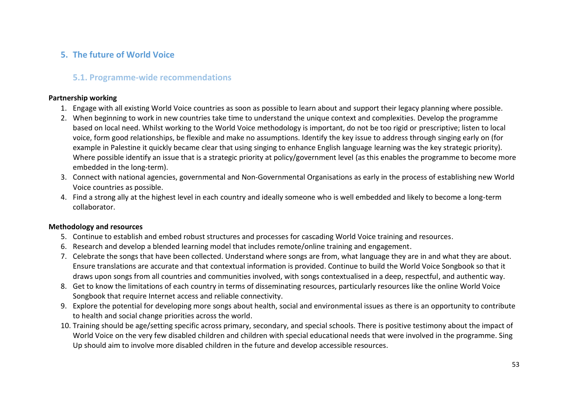## **5. The future of World Voice**

## **5.1. Programme-wide recommendations**

## **Partnership working**

- 1. Engage with all existing World Voice countries as soon as possible to learn about and support their legacy planning where possible.
- 2. When beginning to work in new countries take time to understand the unique context and complexities. Develop the programme based on local need. Whilst working to the World Voice methodology is important, do not be too rigid or prescriptive; listen to local voice, form good relationships, be flexible and make no assumptions. Identify the key issue to address through singing early on (for example in Palestine it quickly became clear that using singing to enhance English language learning was the key strategic priority). Where possible identify an issue that is a strategic priority at policy/government level (as this enables the programme to become more embedded in the long-term).
- 3. Connect with national agencies, governmental and Non-Governmental Organisations as early in the process of establishing new World Voice countries as possible.
- 4. Find a strong ally at the highest level in each country and ideally someone who is well embedded and likely to become a long-term collaborator.

## **Methodology and resources**

- 5. Continue to establish and embed robust structures and processes for cascading World Voice training and resources.
- 6. Research and develop a blended learning model that includes remote/online training and engagement.
- 7. Celebrate the songs that have been collected. Understand where songs are from, what language they are in and what they are about. Ensure translations are accurate and that contextual information is provided. Continue to build the World Voice Songbook so that it draws upon songs from all countries and communities involved, with songs contextualised in a deep, respectful, and authentic way.
- 8. Get to know the limitations of each country in terms of disseminating resources, particularly resources like the online World Voice Songbook that require Internet access and reliable connectivity.
- 9. Explore the potential for developing more songs about health, social and environmental issues as there is an opportunity to contribute to health and social change priorities across the world.
- 10. Training should be age/setting specific across primary, secondary, and special schools. There is positive testimony about the impact of World Voice on the very few disabled children and children with special educational needs that were involved in the programme. Sing Up should aim to involve more disabled children in the future and develop accessible resources.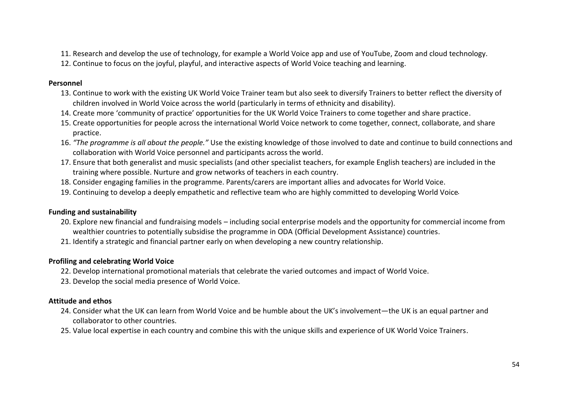- 11. Research and develop the use of technology, for example a World Voice app and use of YouTube, Zoom and cloud technology.
- 12. Continue to focus on the joyful, playful, and interactive aspects of World Voice teaching and learning.

## **Personnel**

- 13. Continue to work with the existing UK World Voice Trainer team but also seek to diversify Trainers to better reflect the diversity of children involved in World Voice across the world (particularly in terms of ethnicity and disability).
- 14. Create more 'community of practice' opportunities for the UK World Voice Trainers to come together and share practice.
- 15. Create opportunities for people across the international World Voice network to come together, connect, collaborate, and share practice.
- 16. *"The programme is all about the people."* Use the existing knowledge of those involved to date and continue to build connections and collaboration with World Voice personnel and participants across the world.
- 17. Ensure that both generalist and music specialists (and other specialist teachers, for example English teachers) are included in the training where possible. Nurture and grow networks of teachers in each country.
- 18. Consider engaging families in the programme. Parents/carers are important allies and advocates for World Voice.
- 19. Continuing to develop a deeply empathetic and reflective team who are highly committed to developing World Voice .

## **Funding and sustainability**

- 20. Explore new financial and fundraising models including social enterprise models and the opportunity for commercial income from wealthier countries to potentially subsidise the programme in ODA (Official Development Assistance) countries.
- 21. Identify a strategic and financial partner early on when developing a new country relationship.

## **Profiling and celebrating World Voice**

- 22. Develop international promotional materials that celebrate the varied outcomes and impact of World Voice.
- 23. Develop the social media presence of World Voice.

## **Attitude and ethos**

- 24. Consider what the UK can learn from World Voice and be humble about the UK's involvement—the UK is an equal partner and collaborator to other countries.
- 25. Value local expertise in each country and combine this with the unique skills and experience of UK World Voice Trainers.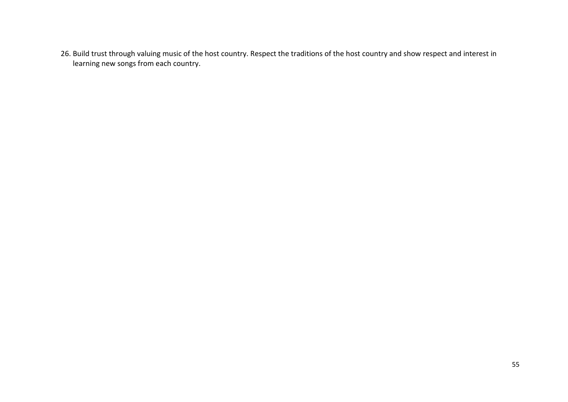26. Build trust through valuing music of the host country. Respect the traditions of the host country and show respect and interest in learning new songs from each country.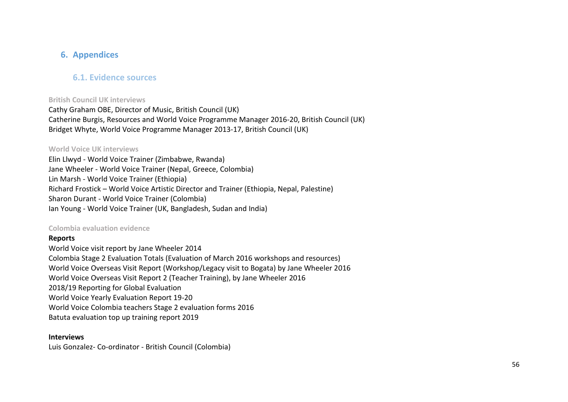## **6. Appendices**

## **6.1. Evidence sources**

## **British Council UK interviews**

Cathy Graham OBE, Director of Music, British Council (UK) Catherine Burgis, Resources and World Voice Programme Manager 2016-20, British Council (UK) Bridget Whyte, World Voice Programme Manager 2013-17, British Council (UK)

## **World Voice UK interviews**

Elin Llwyd - World Voice Trainer (Zimbabwe, Rwanda) Jane Wheeler - World Voice Trainer (Nepal, Greece, Colombia) Lin Marsh - World Voice Trainer (Ethiopia) Richard Frostick – World Voice Artistic Director and Trainer (Ethiopia, Nepal, Palestine) Sharon Durant - World Voice Trainer (Colombia) Ian Young - World Voice Trainer (UK, Bangladesh, Sudan and India)

## **Colombia evaluation evidence**

## **Reports**

World Voice visit report by Jane Wheeler 2014 Colombia Stage 2 Evaluation Totals (Evaluation of March 2016 workshops and resources) World Voice Overseas Visit Report (Workshop/Legacy visit to Bogata) by Jane Wheeler 2016 World Voice Overseas Visit Report 2 (Teacher Training), by Jane Wheeler 2016 2018/19 Reporting for Global Evaluation World Voice Yearly Evaluation Report 19-20 World Voice Colombia teachers Stage 2 evaluation forms 2016 Batuta evaluation top up training report 2019

## **Interviews**

Luis Gonzalez- Co-ordinator - British Council (Colombia)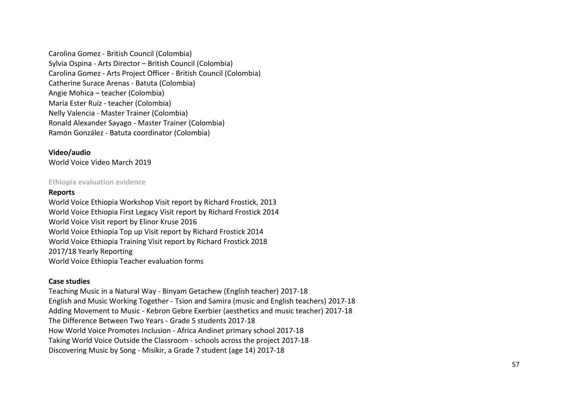Carolina Gomez - British Council (Colombia) Sylvia Ospina - Arts Director – British Council (Colombia) Carolina Gomez - Arts Project Officer - British Council (Colombia) Catherine Surace Arenas - Batuta (Colombia) Angie Mohica – teacher (Colombia) María Ester Ruíz - teacher (Colombia) Nelly Valencia - Master Trainer (Colombia) Ronald Alexander Sayago - Master Trainer (Colombia) Ramón González - Batuta coordinator (Colombia)

## **Video/audio** World Voice Video March 2019

## **Ethiopia evaluation evidence**

## **Reports**

World Voice Ethiopia Workshop Visit report by Richard Frostick, 2013 World Voice Ethiopia First Legacy Visit report by Richard Frostick 2014 World Voice Visit report by Elinor Kruse 2016 World Voice Ethiopia Top up Visit report by Richard Frostick 2014 World Voice Ethiopia Training Visit report by Richard Frostick 2018 2017/18 Yearly Reporting World Voice Ethiopia Teacher evaluation forms

## **Case studies**

Teaching Music in a Natural Way - Binyam Getachew (English teacher) 2017-18 English and Music Working Together - Tsion and Samira (music and English teachers) 2017-18 Adding Movement to Music - Kebron Gebre Exerbier (aesthetics and music teacher) 2017-18 The Difference Between Two Years - Grade 5 students 2017-18 How World Voice Promotes Inclusion - Africa Andinet primary school 2017-18 Taking World Voice Outside the Classroom - schools across the project 2017-18 Discovering Music by Song - Misikir, a Grade 7 student (age 14) 2017-18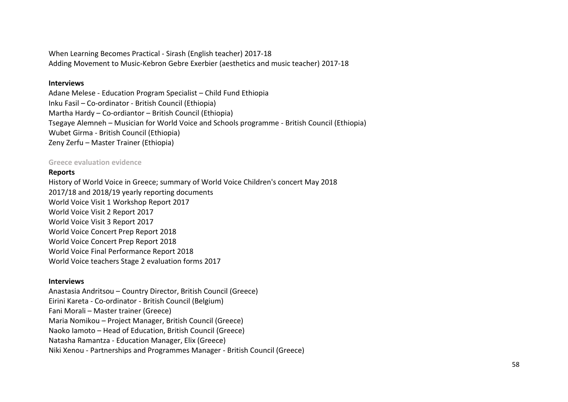When Learning Becomes Practical - Sirash (English teacher) 2017-18 Adding Movement to Music-Kebron Gebre Exerbier (aesthetics and music teacher) 2017-18

#### **Interviews**

Adane Melese - Education Program Specialist – Child Fund Ethiopia Inku Fasil – Co-ordinator - British Council (Ethiopia) Martha Hardy – Co-ordiantor – British Council (Ethiopia) Tsegaye Alemneh – Musician for World Voice and Schools programme - British Council (Ethiopia) Wubet Girma - British Council (Ethiopia) Zeny Zerfu – Master Trainer (Ethiopia)

#### **Greece evaluation evidence**

#### **Reports**

History of World Voice in Greece; summary of World Voice Children's concert May 2018 2017/18 and 2018/19 yearly reporting documents World Voice Visit 1 Workshop Report 2017 World Voice Visit 2 Report 2017 World Voice Visit 3 Report 2017 World Voice Concert Prep Report 2018 World Voice Concert Prep Report 2018 World Voice Final Performance Report 2018 World Voice teachers Stage 2 evaluation forms 2017

## **Interviews**

Anastasia Andritsou – Country Director, British Council (Greece) Eirini Kareta - Co-ordinator - British Council (Belgium) Fani Morali – Master trainer (Greece) Maria Nomikou – Project Manager, British Council (Greece) Naoko Iamoto – Head of Education, British Council (Greece) Natasha Ramantza - Education Manager, Elix (Greece) Niki Xenou - Partnerships and Programmes Manager - British Council (Greece)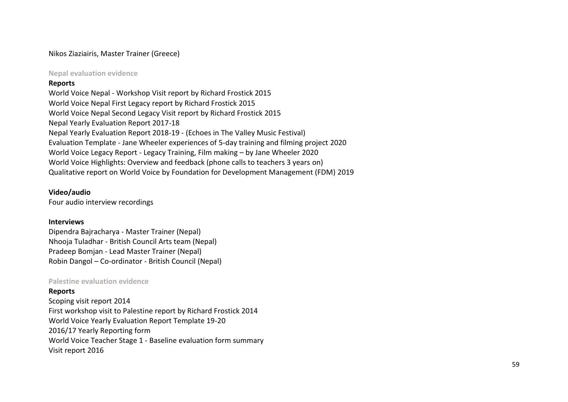## Nikos Ziaziairis, Master Trainer (Greece)

**Nepal evaluation evidence**

## **Reports**

World Voice Nepal - Workshop Visit report by Richard Frostick 2015 World Voice Nepal First Legacy report by Richard Frostick 2015 World Voice Nepal Second Legacy Visit report by Richard Frostick 2015 Nepal Yearly Evaluation Report 2017-18 Nepal Yearly Evaluation Report 2018-19 - (Echoes in The Valley Music Festival) Evaluation Template - Jane Wheeler experiences of 5-day training and filming project 2020 World Voice Legacy Report - Legacy Training, Film making – by Jane Wheeler 2020 World Voice Highlights: Overview and feedback (phone calls to teachers 3 years on) Qualitative report on World Voice by Foundation for Development Management (FDM) 2019

## **Video/audio**

Four audio interview recordings

## **Interviews**

Dipendra Bajracharya - Master Trainer (Nepal) Nhooja Tuladhar - British Council Arts team (Nepal) Pradeep Bomjan - Lead Master Trainer (Nepal) Robin Dangol – Co-ordinator - British Council (Nepal)

#### **Palestine evaluation evidence**

**Reports**

Scoping visit report 2014 First workshop visit to Palestine report by Richard Frostick 2014 World Voice Yearly Evaluation Report Template 19-20 2016/17 Yearly Reporting form World Voice Teacher Stage 1 - Baseline evaluation form summary Visit report 2016